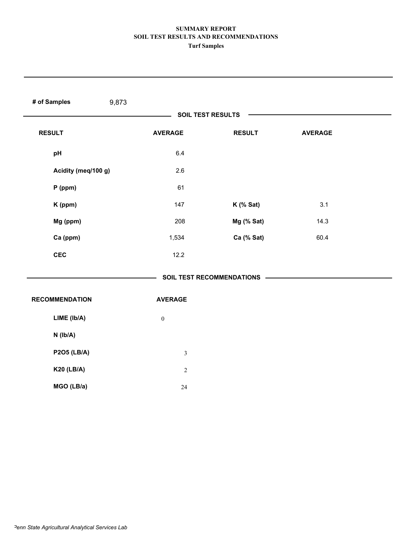| # of Samples<br>9,873 |                          |                             |                |  |
|-----------------------|--------------------------|-----------------------------|----------------|--|
|                       | <b>SOIL TEST RESULTS</b> |                             |                |  |
| <b>RESULT</b>         | <b>AVERAGE</b>           | <b>RESULT</b>               | <b>AVERAGE</b> |  |
| pH                    | 6.4                      |                             |                |  |
| Acidity (meq/100 g)   | 2.6                      |                             |                |  |
| $P$ (ppm)             | 61                       |                             |                |  |
| K (ppm)               | 147                      | $K$ (% Sat)                 | 3.1            |  |
| Mg (ppm)              | 208                      | Mg (% Sat)                  | 14.3           |  |
| Ca (ppm)              | 1,534                    | Ca (% Sat)                  | 60.4           |  |
| <b>CEC</b>            | 12.2                     |                             |                |  |
|                       |                          | SOIL TEST RECOMMENDATIONS - |                |  |
| <b>RECOMMENDATION</b> | <b>AVERAGE</b>           |                             |                |  |
| LIME (Ib/A)           | $\boldsymbol{0}$         |                             |                |  |
| $N$ (lb/A)            |                          |                             |                |  |
| <b>P2O5 (LB/A)</b>    | $\mathfrak{Z}$           |                             |                |  |
| <b>K20 (LB/A)</b>     | $\sqrt{2}$               |                             |                |  |
| MGO (LB/a)            | $24\,$                   |                             |                |  |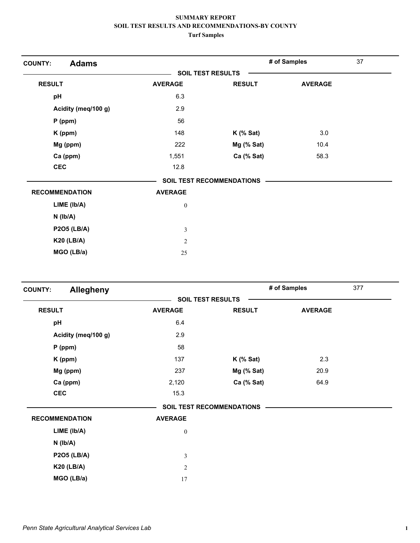| <b>Adams</b><br><b>COUNTY:</b> |                  |                                  | # of Samples   | 37 |
|--------------------------------|------------------|----------------------------------|----------------|----|
|                                |                  | <b>SOIL TEST RESULTS</b>         |                |    |
| <b>RESULT</b>                  | <b>AVERAGE</b>   | <b>RESULT</b>                    | <b>AVERAGE</b> |    |
| pH                             | 6.3              |                                  |                |    |
| Acidity (meq/100 g)            | 2.9              |                                  |                |    |
| $P$ (ppm)                      | 56               |                                  |                |    |
| K (ppm)                        | 148              | $K$ (% Sat)                      | 3.0            |    |
| Mg (ppm)                       | 222              | Mg (% Sat)                       | 10.4           |    |
| Ca (ppm)                       | 1,551            | Ca (% Sat)                       | 58.3           |    |
| <b>CEC</b>                     | 12.8             |                                  |                |    |
|                                |                  | <b>SOIL TEST RECOMMENDATIONS</b> |                |    |
| <b>RECOMMENDATION</b>          | <b>AVERAGE</b>   |                                  |                |    |
| LIME (Ib/A)                    | $\boldsymbol{0}$ |                                  |                |    |
| $N$ ( $lb/A$ )                 |                  |                                  |                |    |
| <b>P2O5 (LB/A)</b>             | 3                |                                  |                |    |
| <b>K20 (LB/A)</b>              | $\overline{2}$   |                                  |                |    |
| MGO (LB/a)                     | 25               |                                  |                |    |

| <b>Allegheny</b><br><b>COUNTY:</b> |                          |                           | # of Samples   | 377 |
|------------------------------------|--------------------------|---------------------------|----------------|-----|
|                                    | <b>SOIL TEST RESULTS</b> |                           |                |     |
| <b>RESULT</b>                      | <b>AVERAGE</b>           | <b>RESULT</b>             | <b>AVERAGE</b> |     |
| pH                                 | 6.4                      |                           |                |     |
| Acidity (meq/100 g)                | 2.9                      |                           |                |     |
| $P$ (ppm)                          | 58                       |                           |                |     |
| K (ppm)                            | 137                      | $K$ (% Sat)               | 2.3            |     |
| Mg (ppm)                           | 237                      | Mg (% Sat)                | 20.9           |     |
| Ca (ppm)                           | 2,120                    | Ca (% Sat)                | 64.9           |     |
| <b>CEC</b>                         | 15.3                     |                           |                |     |
|                                    |                          | SOIL TEST RECOMMENDATIONS |                |     |
| <b>RECOMMENDATION</b>              | <b>AVERAGE</b>           |                           |                |     |
| LIME (lb/A)                        | $\boldsymbol{0}$         |                           |                |     |
| $N$ ( $lb/A$ )                     |                          |                           |                |     |
| <b>P2O5 (LB/A)</b>                 | 3                        |                           |                |     |
| <b>K20 (LB/A)</b>                  | $\overline{2}$           |                           |                |     |
| MGO (LB/a)                         | 17                       |                           |                |     |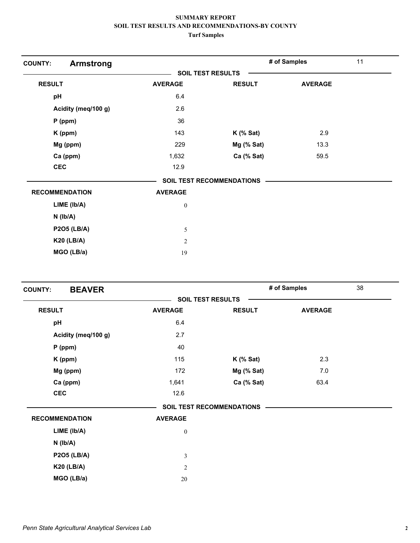| <b>Armstrong</b><br><b>COUNTY:</b> |                  |                                  | # of Samples   | 11 |
|------------------------------------|------------------|----------------------------------|----------------|----|
|                                    |                  | <b>SOIL TEST RESULTS</b>         |                |    |
| <b>RESULT</b>                      | <b>AVERAGE</b>   | <b>RESULT</b>                    | <b>AVERAGE</b> |    |
| pH                                 | 6.4              |                                  |                |    |
| Acidity (meq/100 g)                | 2.6              |                                  |                |    |
| $P$ (ppm)                          | 36               |                                  |                |    |
| K (ppm)                            | 143              | $K$ (% Sat)                      | 2.9            |    |
| Mg (ppm)                           | 229              | Mg (% Sat)                       | 13.3           |    |
| Ca (ppm)                           | 1,632            | Ca (% Sat)                       | 59.5           |    |
| <b>CEC</b>                         | 12.9             |                                  |                |    |
|                                    |                  | <b>SOIL TEST RECOMMENDATIONS</b> |                |    |
| <b>RECOMMENDATION</b>              | <b>AVERAGE</b>   |                                  |                |    |
| $LIME$ ( $lb/A$ )                  | $\boldsymbol{0}$ |                                  |                |    |
| $N$ ( $lb/A$ )                     |                  |                                  |                |    |
| <b>P2O5 (LB/A)</b>                 | 5                |                                  |                |    |
| <b>K20 (LB/A)</b>                  | $\overline{2}$   |                                  |                |    |
| MGO (LB/a)                         | 19               |                                  |                |    |

| <b>BEAVER</b><br><b>COUNTY:</b> |                          |                                  | # of Samples   | 38 |
|---------------------------------|--------------------------|----------------------------------|----------------|----|
|                                 | <b>SOIL TEST RESULTS</b> |                                  |                |    |
| <b>RESULT</b>                   | <b>AVERAGE</b>           | <b>RESULT</b>                    | <b>AVERAGE</b> |    |
| pH                              | 6.4                      |                                  |                |    |
| Acidity (meq/100 g)             | 2.7                      |                                  |                |    |
| $P$ (ppm)                       | 40                       |                                  |                |    |
| K (ppm)                         | 115                      | $K$ (% Sat)                      | 2.3            |    |
| Mg (ppm)                        | 172                      | Mg (% Sat)                       | 7.0            |    |
| Ca (ppm)                        | 1,641                    | Ca (% Sat)                       | 63.4           |    |
| <b>CEC</b>                      | 12.6                     |                                  |                |    |
|                                 |                          | <b>SOIL TEST RECOMMENDATIONS</b> |                |    |
| <b>RECOMMENDATION</b>           | <b>AVERAGE</b>           |                                  |                |    |
| LIME (lb/A)                     | $\boldsymbol{0}$         |                                  |                |    |
| $N$ ( $lb/A$ )                  |                          |                                  |                |    |
| <b>P2O5 (LB/A)</b>              | $\mathfrak{Z}$           |                                  |                |    |
| <b>K20 (LB/A)</b>               | $\overline{c}$           |                                  |                |    |
| MGO (LB/a)                      | $20\,$                   |                                  |                |    |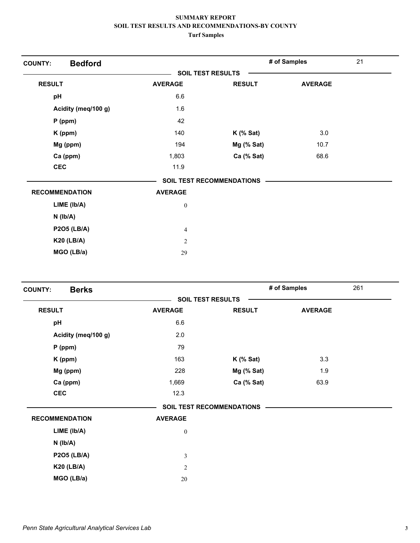| <b>Bedford</b><br><b>COUNTY:</b> |                  |                                  | # of Samples   | 21 |
|----------------------------------|------------------|----------------------------------|----------------|----|
|                                  |                  | <b>SOIL TEST RESULTS</b>         |                |    |
| <b>RESULT</b>                    | <b>AVERAGE</b>   | <b>RESULT</b>                    | <b>AVERAGE</b> |    |
| pH                               | 6.6              |                                  |                |    |
| Acidity (meq/100 g)              | 1.6              |                                  |                |    |
| $P$ (ppm)                        | 42               |                                  |                |    |
| K (ppm)                          | 140              | $K$ (% Sat)                      | 3.0            |    |
| Mg (ppm)                         | 194              | Mg (% Sat)                       | 10.7           |    |
| Ca (ppm)                         | 1,803            | Ca (% Sat)                       | 68.6           |    |
| <b>CEC</b>                       | 11.9             |                                  |                |    |
|                                  |                  | <b>SOIL TEST RECOMMENDATIONS</b> |                |    |
| <b>RECOMMENDATION</b>            | <b>AVERAGE</b>   |                                  |                |    |
| LIME (Ib/A)                      | $\boldsymbol{0}$ |                                  |                |    |
| $N$ ( $lb/A$ )                   |                  |                                  |                |    |
| <b>P2O5 (LB/A)</b>               | 4                |                                  |                |    |
| <b>K20 (LB/A)</b>                | $\overline{2}$   |                                  |                |    |
| MGO (LB/a)                       | 29               |                                  |                |    |

| <b>Berks</b><br><b>COUNTY:</b> |                          |                           | # of Samples   | 261 |
|--------------------------------|--------------------------|---------------------------|----------------|-----|
|                                | <b>SOIL TEST RESULTS</b> |                           |                |     |
| <b>RESULT</b>                  | <b>AVERAGE</b>           | <b>RESULT</b>             | <b>AVERAGE</b> |     |
| pH                             | 6.6                      |                           |                |     |
| Acidity (meq/100 g)            | 2.0                      |                           |                |     |
| $P$ (ppm)                      | 79                       |                           |                |     |
| K (ppm)                        | 163                      | $K$ (% Sat)               | 3.3            |     |
| Mg (ppm)                       | 228                      | Mg (% Sat)                | 1.9            |     |
| Ca (ppm)                       | 1,669                    | Ca (% Sat)                | 63.9           |     |
| <b>CEC</b>                     | 12.3                     |                           |                |     |
|                                |                          | SOIL TEST RECOMMENDATIONS |                |     |
| <b>RECOMMENDATION</b>          | <b>AVERAGE</b>           |                           |                |     |
| LIME (lb/A)                    | $\boldsymbol{0}$         |                           |                |     |
| $N$ ( $lb/A$ )                 |                          |                           |                |     |
| <b>P2O5 (LB/A)</b>             | 3                        |                           |                |     |
| <b>K20 (LB/A)</b>              | $\overline{2}$           |                           |                |     |
| MGO (LB/a)                     | 20                       |                           |                |     |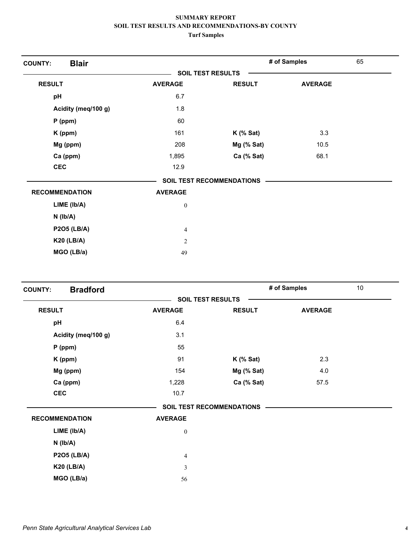| <b>Blair</b><br><b>COUNTY:</b> |                |                                  | # of Samples   | 65 |
|--------------------------------|----------------|----------------------------------|----------------|----|
|                                |                | <b>SOIL TEST RESULTS</b>         |                |    |
| <b>RESULT</b>                  | <b>AVERAGE</b> | <b>RESULT</b>                    | <b>AVERAGE</b> |    |
| pH                             | 6.7            |                                  |                |    |
| Acidity (meq/100 g)            | 1.8            |                                  |                |    |
| $P$ (ppm)                      | 60             |                                  |                |    |
| K (ppm)                        | 161            | $K$ (% Sat)                      | 3.3            |    |
| Mg (ppm)                       | 208            | Mg (% Sat)                       | 10.5           |    |
| Ca (ppm)                       | 1,895          | Ca (% Sat)                       | 68.1           |    |
| <b>CEC</b>                     | 12.9           |                                  |                |    |
|                                |                | <b>SOIL TEST RECOMMENDATIONS</b> |                |    |
| <b>RECOMMENDATION</b>          | <b>AVERAGE</b> |                                  |                |    |
| LIME (Ib/A)                    | $\bf{0}$       |                                  |                |    |
| $N$ ( $Ib/A$ )                 |                |                                  |                |    |
| <b>P2O5 (LB/A)</b>             | 4              |                                  |                |    |
| <b>K20 (LB/A)</b>              | $\overline{c}$ |                                  |                |    |
| MGO (LB/a)                     | 49             |                                  |                |    |

| <b>Bradford</b><br><b>COUNTY:</b> |                          |                                  | # of Samples   | $10$ |
|-----------------------------------|--------------------------|----------------------------------|----------------|------|
|                                   | <b>SOIL TEST RESULTS</b> |                                  |                |      |
| <b>RESULT</b>                     | <b>AVERAGE</b>           | <b>RESULT</b>                    | <b>AVERAGE</b> |      |
| pH                                | 6.4                      |                                  |                |      |
| Acidity (meq/100 g)               | 3.1                      |                                  |                |      |
| $P$ (ppm)                         | 55                       |                                  |                |      |
| K (ppm)                           | 91                       | $K$ (% Sat)                      | 2.3            |      |
| Mg (ppm)                          | 154                      | Mg (% Sat)                       | 4.0            |      |
| Ca (ppm)                          | 1,228                    | Ca (% Sat)                       | 57.5           |      |
| <b>CEC</b>                        | 10.7                     |                                  |                |      |
|                                   |                          | <b>SOIL TEST RECOMMENDATIONS</b> |                |      |
| <b>RECOMMENDATION</b>             | <b>AVERAGE</b>           |                                  |                |      |
| LIME (lb/A)                       | $\boldsymbol{0}$         |                                  |                |      |
| $N$ ( $Ib/A$ )                    |                          |                                  |                |      |
| <b>P2O5 (LB/A)</b>                | 4                        |                                  |                |      |
| <b>K20 (LB/A)</b>                 | 3                        |                                  |                |      |
| MGO (LB/a)                        | 56                       |                                  |                |      |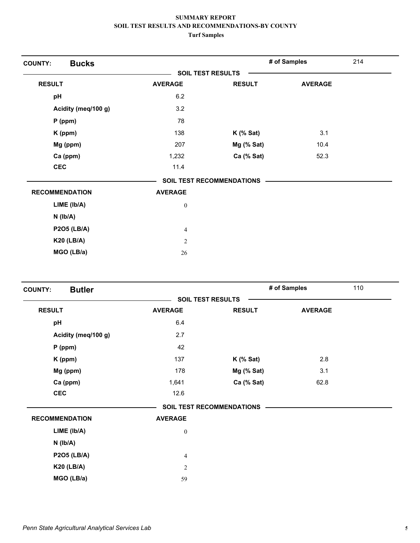| <b>Bucks</b><br><b>COUNTY:</b> |                  |                                  | # of Samples   | 214 |
|--------------------------------|------------------|----------------------------------|----------------|-----|
|                                |                  | <b>SOIL TEST RESULTS</b>         |                |     |
| <b>RESULT</b>                  | <b>AVERAGE</b>   | <b>RESULT</b>                    | <b>AVERAGE</b> |     |
| pH                             | 6.2              |                                  |                |     |
| Acidity (meq/100 g)            | 3.2              |                                  |                |     |
| $P$ (ppm)                      | 78               |                                  |                |     |
| K (ppm)                        | 138              | $K$ (% Sat)                      | 3.1            |     |
| Mg (ppm)                       | 207              | Mg (% Sat)                       | 10.4           |     |
| Ca (ppm)                       | 1,232            | Ca (% Sat)                       | 52.3           |     |
| <b>CEC</b>                     | 11.4             |                                  |                |     |
|                                |                  | <b>SOIL TEST RECOMMENDATIONS</b> |                |     |
| <b>RECOMMENDATION</b>          | <b>AVERAGE</b>   |                                  |                |     |
| LIME (lb/A)                    | $\boldsymbol{0}$ |                                  |                |     |
| $N$ ( $lb/A$ )                 |                  |                                  |                |     |
| <b>P2O5 (LB/A)</b>             | 4                |                                  |                |     |
| <b>K20 (LB/A)</b>              | $\overline{2}$   |                                  |                |     |
| MGO (LB/a)                     | 26               |                                  |                |     |

| <b>Butler</b><br><b>COUNTY:</b> |                          |                                  | # of Samples   | 110 |
|---------------------------------|--------------------------|----------------------------------|----------------|-----|
|                                 | <b>SOIL TEST RESULTS</b> |                                  |                |     |
| <b>RESULT</b>                   | <b>AVERAGE</b>           | <b>RESULT</b>                    | <b>AVERAGE</b> |     |
| pH                              | 6.4                      |                                  |                |     |
| Acidity (meq/100 g)             | 2.7                      |                                  |                |     |
| $P$ (ppm)                       | 42                       |                                  |                |     |
| K (ppm)                         | 137                      | $K$ (% Sat)                      | 2.8            |     |
| Mg (ppm)                        | 178                      | $Mg$ (% Sat)                     | 3.1            |     |
| Ca (ppm)                        | 1,641                    | Ca (% Sat)                       | 62.8           |     |
| <b>CEC</b>                      | 12.6                     |                                  |                |     |
|                                 |                          | <b>SOIL TEST RECOMMENDATIONS</b> |                |     |
| <b>RECOMMENDATION</b>           | <b>AVERAGE</b>           |                                  |                |     |
| LIME (Ib/A)                     | $\boldsymbol{0}$         |                                  |                |     |
| $N$ ( $Ib/A$ )                  |                          |                                  |                |     |
| <b>P2O5 (LB/A)</b>              | 4                        |                                  |                |     |
| <b>K20 (LB/A)</b>               | $\overline{2}$           |                                  |                |     |
| MGO (LB/a)                      | 59                       |                                  |                |     |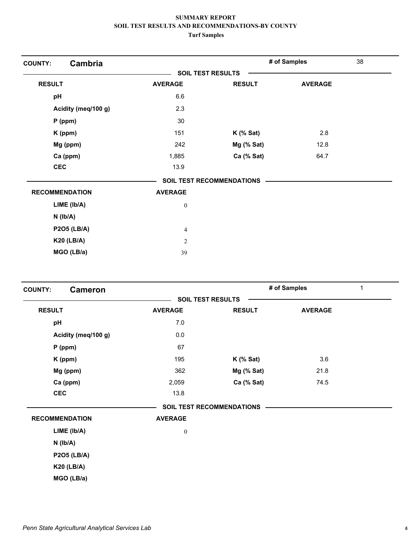| Cambria<br><b>COUNTY:</b> |                  |                                  | # of Samples   | 38 |
|---------------------------|------------------|----------------------------------|----------------|----|
|                           |                  | <b>SOIL TEST RESULTS</b>         |                |    |
| <b>RESULT</b>             | <b>AVERAGE</b>   | <b>RESULT</b>                    | <b>AVERAGE</b> |    |
| pH                        | 6.6              |                                  |                |    |
| Acidity (meq/100 g)       | 2.3              |                                  |                |    |
| $P$ (ppm)                 | 30               |                                  |                |    |
| K (ppm)                   | 151              | $K$ (% Sat)                      | 2.8            |    |
| Mg (ppm)                  | 242              | Mg (% Sat)                       | 12.8           |    |
| Ca (ppm)                  | 1,885            | Ca (% Sat)                       | 64.7           |    |
| <b>CEC</b>                | 13.9             |                                  |                |    |
|                           |                  | <b>SOIL TEST RECOMMENDATIONS</b> |                |    |
| <b>RECOMMENDATION</b>     | <b>AVERAGE</b>   |                                  |                |    |
| LIME (Ib/A)               | $\boldsymbol{0}$ |                                  |                |    |
| $N$ ( $lb/A$ )            |                  |                                  |                |    |
| <b>P2O5 (LB/A)</b>        | 4                |                                  |                |    |
| <b>K20 (LB/A)</b>         | $\overline{2}$   |                                  |                |    |
| MGO (LB/a)                | 39               |                                  |                |    |

| <b>Cameron</b><br><b>COUNTY:</b> |                          |                                  | # of Samples   | $\mathbf{1}$ |
|----------------------------------|--------------------------|----------------------------------|----------------|--------------|
|                                  | <b>SOIL TEST RESULTS</b> |                                  |                |              |
| <b>RESULT</b>                    | <b>AVERAGE</b>           | <b>RESULT</b>                    | <b>AVERAGE</b> |              |
| pH                               | 7.0                      |                                  |                |              |
| Acidity (meq/100 g)              | 0.0                      |                                  |                |              |
| $P$ (ppm)                        | 67                       |                                  |                |              |
| K (ppm)                          | 195                      | $K$ (% Sat)                      | 3.6            |              |
| Mg (ppm)                         | 362                      | Mg (% Sat)                       | 21.8           |              |
| Ca (ppm)                         | 2,059                    | Ca (% Sat)                       | 74.5           |              |
| <b>CEC</b>                       | 13.8                     |                                  |                |              |
|                                  |                          | <b>SOIL TEST RECOMMENDATIONS</b> |                |              |
| <b>RECOMMENDATION</b>            | <b>AVERAGE</b>           |                                  |                |              |
| LIME (Ib/A)                      | $\boldsymbol{0}$         |                                  |                |              |
| $N$ ( $lb/A$ )                   |                          |                                  |                |              |
| <b>P2O5 (LB/A)</b>               |                          |                                  |                |              |
| <b>K20 (LB/A)</b>                |                          |                                  |                |              |
| MGO (LB/a)                       |                          |                                  |                |              |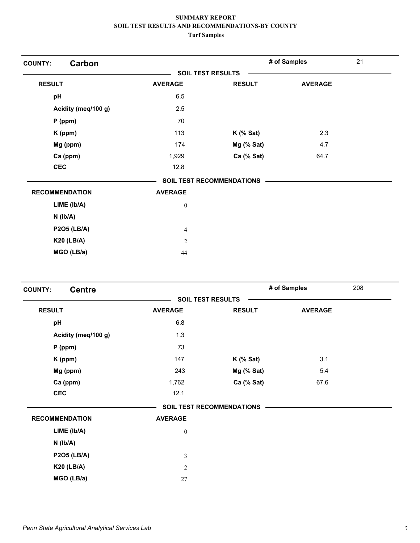| Carbon<br><b>COUNTY:</b> |                  |                           | # of Samples   | 21 |
|--------------------------|------------------|---------------------------|----------------|----|
|                          |                  | <b>SOIL TEST RESULTS</b>  |                |    |
| <b>RESULT</b>            | <b>AVERAGE</b>   | <b>RESULT</b>             | <b>AVERAGE</b> |    |
| pH                       | 6.5              |                           |                |    |
| Acidity (meq/100 g)      | 2.5              |                           |                |    |
| $P$ (ppm)                | 70               |                           |                |    |
| K (ppm)                  | 113              | $K$ (% Sat)               | 2.3            |    |
| Mg (ppm)                 | 174              | Mg (% Sat)                | 4.7            |    |
| Ca (ppm)                 | 1,929            | Ca (% Sat)                | 64.7           |    |
| <b>CEC</b>               | 12.8             |                           |                |    |
|                          |                  | SOIL TEST RECOMMENDATIONS |                |    |
| <b>RECOMMENDATION</b>    | <b>AVERAGE</b>   |                           |                |    |
| LIME (Ib/A)              | $\boldsymbol{0}$ |                           |                |    |
| $N$ ( $lb/A$ )           |                  |                           |                |    |
| <b>P2O5 (LB/A)</b>       | 4                |                           |                |    |
| <b>K20 (LB/A)</b>        | $\overline{c}$   |                           |                |    |
| MGO (LB/a)               | 44               |                           |                |    |

| <b>Centre</b><br><b>COUNTY:</b> |                          |                                  | # of Samples   | 208 |
|---------------------------------|--------------------------|----------------------------------|----------------|-----|
|                                 | <b>SOIL TEST RESULTS</b> |                                  |                |     |
| <b>RESULT</b>                   | <b>AVERAGE</b>           | <b>RESULT</b>                    | <b>AVERAGE</b> |     |
| pH                              | 6.8                      |                                  |                |     |
| Acidity (meq/100 g)             | 1.3                      |                                  |                |     |
| $P$ (ppm)                       | 73                       |                                  |                |     |
| K (ppm)                         | 147                      | $K$ (% Sat)                      | 3.1            |     |
| Mg (ppm)                        | 243                      | Mg (% Sat)                       | 5.4            |     |
| Ca (ppm)                        | 1,762                    | Ca (% Sat)                       | 67.6           |     |
| <b>CEC</b>                      | 12.1                     |                                  |                |     |
|                                 |                          | <b>SOIL TEST RECOMMENDATIONS</b> |                |     |
| <b>RECOMMENDATION</b>           | <b>AVERAGE</b>           |                                  |                |     |
| $LIME$ ( $lb/A$ )               | $\boldsymbol{0}$         |                                  |                |     |
| $N$ ( $lb/A$ )                  |                          |                                  |                |     |
| <b>P2O5 (LB/A)</b>              | $\mathfrak{Z}$           |                                  |                |     |
| <b>K20 (LB/A)</b>               | $\overline{2}$           |                                  |                |     |
| MGO (LB/a)                      | 27                       |                                  |                |     |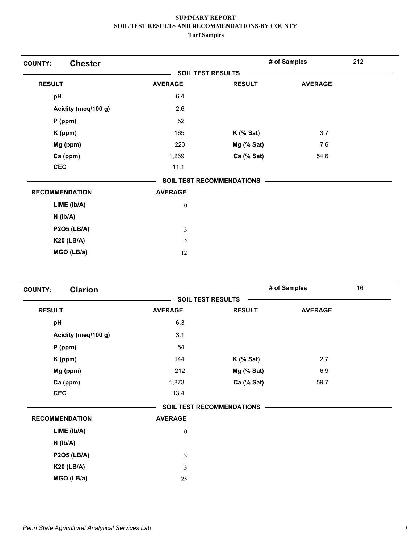| <b>Chester</b><br><b>COUNTY:</b> |                  |                           | # of Samples   | 212 |
|----------------------------------|------------------|---------------------------|----------------|-----|
|                                  |                  | <b>SOIL TEST RESULTS</b>  |                |     |
| <b>RESULT</b>                    | <b>AVERAGE</b>   | <b>RESULT</b>             | <b>AVERAGE</b> |     |
| pH                               | 6.4              |                           |                |     |
| Acidity (meq/100 g)              | 2.6              |                           |                |     |
| $P$ (ppm)                        | 52               |                           |                |     |
| K (ppm)                          | 165              | $K$ (% Sat)               | 3.7            |     |
| Mg (ppm)                         | 223              | Mg (% Sat)                | 7.6            |     |
| Ca (ppm)                         | 1,269            | Ca (% Sat)                | 54.6           |     |
| <b>CEC</b>                       | 11.1             |                           |                |     |
|                                  |                  | SOIL TEST RECOMMENDATIONS |                |     |
| <b>RECOMMENDATION</b>            | <b>AVERAGE</b>   |                           |                |     |
| LIME (lb/A)                      | $\boldsymbol{0}$ |                           |                |     |
| $N$ ( $Ib/A$ )                   |                  |                           |                |     |
| <b>P2O5 (LB/A)</b>               | 3                |                           |                |     |
| <b>K20 (LB/A)</b>                | 2                |                           |                |     |
| MGO (LB/a)                       | 12               |                           |                |     |

| <b>Clarion</b><br><b>COUNTY:</b> |                  |                           | # of Samples   | 16 |
|----------------------------------|------------------|---------------------------|----------------|----|
|                                  |                  | <b>SOIL TEST RESULTS</b>  |                |    |
| <b>RESULT</b>                    | <b>AVERAGE</b>   | <b>RESULT</b>             | <b>AVERAGE</b> |    |
| pH                               | 6.3              |                           |                |    |
| Acidity (meq/100 g)              | 3.1              |                           |                |    |
| $P$ (ppm)                        | 54               |                           |                |    |
| $K$ (ppm)                        | 144              | $K$ (% Sat)               | 2.7            |    |
| Mg (ppm)                         | 212              | Mg (% Sat)                | 6.9            |    |
| Ca (ppm)                         | 1,873            | Ca (% Sat)                | 59.7           |    |
| <b>CEC</b>                       | 13.4             |                           |                |    |
|                                  |                  | SOIL TEST RECOMMENDATIONS |                |    |
| <b>RECOMMENDATION</b>            | <b>AVERAGE</b>   |                           |                |    |
| LIME (Ib/A)                      | $\boldsymbol{0}$ |                           |                |    |
| $N$ ( $lb/A$ )                   |                  |                           |                |    |
| <b>P2O5 (LB/A)</b>               | $\mathfrak{Z}$   |                           |                |    |
| <b>K20 (LB/A)</b>                | 3                |                           |                |    |
| MGO (LB/a)                       | 25               |                           |                |    |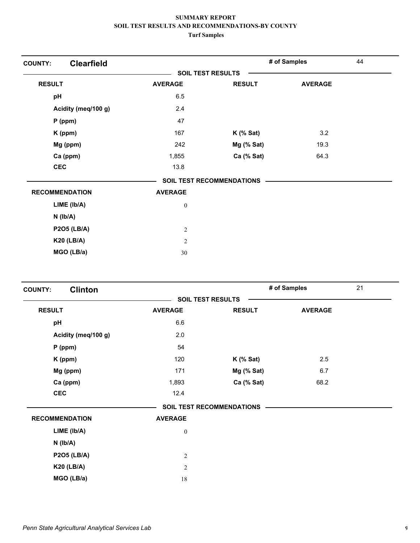| <b>Clearfield</b><br><b>COUNTY:</b> |                  |                                  | # of Samples   | 44 |
|-------------------------------------|------------------|----------------------------------|----------------|----|
|                                     |                  | <b>SOIL TEST RESULTS</b>         |                |    |
| <b>RESULT</b>                       | <b>AVERAGE</b>   | <b>RESULT</b>                    | <b>AVERAGE</b> |    |
| pH                                  | 6.5              |                                  |                |    |
| Acidity (meq/100 g)                 | 2.4              |                                  |                |    |
| P (ppm)                             | 47               |                                  |                |    |
| K (ppm)                             | 167              | $K$ (% Sat)                      | 3.2            |    |
| Mg (ppm)                            | 242              | Mg (% Sat)                       | 19.3           |    |
| Ca (ppm)                            | 1,855            | Ca (% Sat)                       | 64.3           |    |
| <b>CEC</b>                          | 13.8             |                                  |                |    |
|                                     |                  | <b>SOIL TEST RECOMMENDATIONS</b> |                |    |
| <b>RECOMMENDATION</b>               | <b>AVERAGE</b>   |                                  |                |    |
| LIME (lb/A)                         | $\boldsymbol{0}$ |                                  |                |    |
| N (lb/A)                            |                  |                                  |                |    |
| <b>P2O5 (LB/A)</b>                  | $\overline{c}$   |                                  |                |    |
| <b>K20 (LB/A)</b>                   | $\overline{2}$   |                                  |                |    |
| MGO (LB/a)                          | 30               |                                  |                |    |

| <b>Clinton</b><br><b>COUNTY:</b> |                  |                           | # of Samples   | 21 |
|----------------------------------|------------------|---------------------------|----------------|----|
|                                  |                  | <b>SOIL TEST RESULTS</b>  |                |    |
| <b>RESULT</b>                    | <b>AVERAGE</b>   | <b>RESULT</b>             | <b>AVERAGE</b> |    |
| pH                               | 6.6              |                           |                |    |
| Acidity (meq/100 g)              | 2.0              |                           |                |    |
| $P$ (ppm)                        | 54               |                           |                |    |
| K (ppm)                          | 120              | $K$ (% Sat)               | 2.5            |    |
| Mg (ppm)                         | 171              | $Mg$ (% Sat)              | 6.7            |    |
| Ca (ppm)                         | 1,893            | Ca (% Sat)                | 68.2           |    |
| <b>CEC</b>                       | 12.4             |                           |                |    |
|                                  |                  | SOIL TEST RECOMMENDATIONS |                |    |
| <b>RECOMMENDATION</b>            | <b>AVERAGE</b>   |                           |                |    |
| LIME (lb/A)                      | $\boldsymbol{0}$ |                           |                |    |
| $N$ ( $lb/A$ )                   |                  |                           |                |    |
| <b>P2O5 (LB/A)</b>               | $\overline{2}$   |                           |                |    |
| <b>K20 (LB/A)</b>                | $\overline{c}$   |                           |                |    |
| MGO (LB/a)                       | 18               |                           |                |    |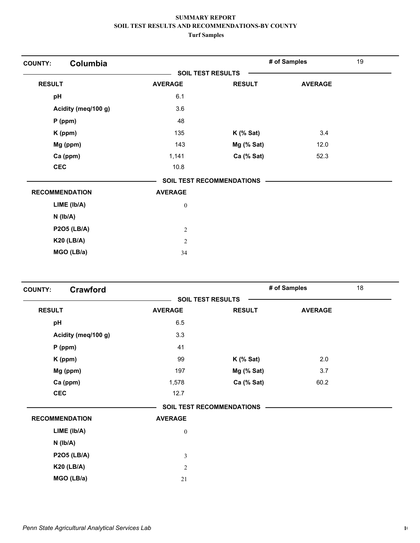| Columbia<br><b>COUNTY:</b> |                  |                                  | # of Samples   | 19 |
|----------------------------|------------------|----------------------------------|----------------|----|
|                            |                  | <b>SOIL TEST RESULTS</b>         |                |    |
| <b>RESULT</b>              | <b>AVERAGE</b>   | <b>RESULT</b>                    | <b>AVERAGE</b> |    |
| pH                         | 6.1              |                                  |                |    |
| Acidity (meq/100 g)        | 3.6              |                                  |                |    |
| $P$ (ppm)                  | 48               |                                  |                |    |
| K (ppm)                    | 135              | $K$ (% Sat)                      | 3.4            |    |
| Mg (ppm)                   | 143              | Mg (% Sat)                       | 12.0           |    |
| Ca (ppm)                   | 1,141            | Ca (% Sat)                       | 52.3           |    |
| <b>CEC</b>                 | 10.8             |                                  |                |    |
|                            |                  | <b>SOIL TEST RECOMMENDATIONS</b> |                |    |
| <b>RECOMMENDATION</b>      | <b>AVERAGE</b>   |                                  |                |    |
| LIME (Ib/A)                | $\boldsymbol{0}$ |                                  |                |    |
| $N$ ( $lb/A$ )             |                  |                                  |                |    |
| <b>P2O5 (LB/A)</b>         | $\overline{2}$   |                                  |                |    |
| <b>K20 (LB/A)</b>          | $\overline{2}$   |                                  |                |    |
| MGO (LB/a)                 | 34               |                                  |                |    |

| <b>Crawford</b><br><b>COUNTY:</b> |                  |                           | # of Samples   | 18 |
|-----------------------------------|------------------|---------------------------|----------------|----|
|                                   |                  | <b>SOIL TEST RESULTS</b>  |                |    |
| <b>RESULT</b>                     | <b>AVERAGE</b>   | <b>RESULT</b>             | <b>AVERAGE</b> |    |
| pH                                | 6.5              |                           |                |    |
| Acidity (meq/100 g)               | 3.3              |                           |                |    |
| $P$ (ppm)                         | 41               |                           |                |    |
| K (ppm)                           | 99               | $K$ (% Sat)               | 2.0            |    |
| Mg (ppm)                          | 197              | Mg (% Sat)                | 3.7            |    |
| Ca (ppm)                          | 1,578            | Ca (% Sat)                | 60.2           |    |
| <b>CEC</b>                        | 12.7             |                           |                |    |
|                                   |                  | SOIL TEST RECOMMENDATIONS |                |    |
| <b>RECOMMENDATION</b>             | <b>AVERAGE</b>   |                           |                |    |
| LIME (lb/A)                       | $\boldsymbol{0}$ |                           |                |    |
| $N$ ( $Ib/A$ )                    |                  |                           |                |    |
| <b>P2O5 (LB/A)</b>                | $\mathfrak{Z}$   |                           |                |    |
| <b>K20 (LB/A)</b>                 | 2                |                           |                |    |
| MGO (LB/a)                        | 21               |                           |                |    |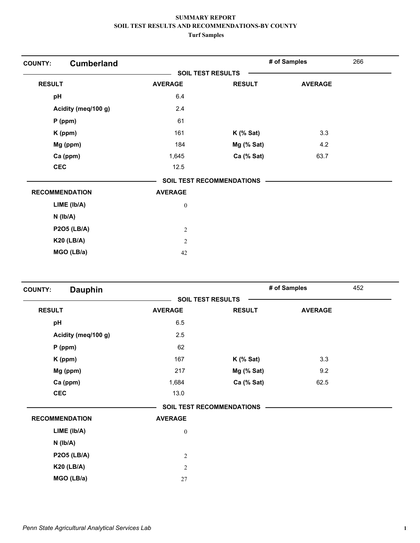| <b>Cumberland</b><br><b>COUNTY:</b> |                  |                                  | # of Samples   | 266 |
|-------------------------------------|------------------|----------------------------------|----------------|-----|
|                                     |                  | <b>SOIL TEST RESULTS</b>         |                |     |
| <b>RESULT</b>                       | <b>AVERAGE</b>   | <b>RESULT</b>                    | <b>AVERAGE</b> |     |
| pH                                  | 6.4              |                                  |                |     |
| Acidity (meq/100 g)                 | 2.4              |                                  |                |     |
| $P$ (ppm)                           | 61               |                                  |                |     |
| K (ppm)                             | 161              | $K$ (% Sat)                      | 3.3            |     |
| Mg (ppm)                            | 184              | Mg (% Sat)                       | 4.2            |     |
| Ca (ppm)                            | 1,645            | Ca (% Sat)                       | 63.7           |     |
| <b>CEC</b>                          | 12.5             |                                  |                |     |
|                                     |                  | <b>SOIL TEST RECOMMENDATIONS</b> |                |     |
| <b>RECOMMENDATION</b>               | <b>AVERAGE</b>   |                                  |                |     |
| $LIME$ ( $lb/A$ )                   | $\boldsymbol{0}$ |                                  |                |     |
| $N$ ( $lb/A$ )                      |                  |                                  |                |     |
| <b>P2O5 (LB/A)</b>                  | 2                |                                  |                |     |
| <b>K20 (LB/A)</b>                   | $\overline{c}$   |                                  |                |     |
| MGO (LB/a)                          | 42               |                                  |                |     |

| <b>Dauphin</b><br><b>COUNTY:</b> |                   |                           | # of Samples   | 452 |
|----------------------------------|-------------------|---------------------------|----------------|-----|
|                                  | SOIL TEST RESULTS |                           |                |     |
| <b>RESULT</b>                    | <b>AVERAGE</b>    | <b>RESULT</b>             | <b>AVERAGE</b> |     |
| pH                               | 6.5               |                           |                |     |
| Acidity (meq/100 g)              | 2.5               |                           |                |     |
| $P$ (ppm)                        | 62                |                           |                |     |
| K (ppm)                          | 167               | $K$ (% Sat)               | 3.3            |     |
| Mg (ppm)                         | 217               | $Mg$ (% Sat)              | 9.2            |     |
| Ca (ppm)                         | 1,684             | Ca (% Sat)                | 62.5           |     |
| <b>CEC</b>                       | 13.0              |                           |                |     |
|                                  |                   | SOIL TEST RECOMMENDATIONS |                |     |
| <b>RECOMMENDATION</b>            | <b>AVERAGE</b>    |                           |                |     |
| LIME (lb/A)                      | $\boldsymbol{0}$  |                           |                |     |
| $N$ ( $Ib/A$ )                   |                   |                           |                |     |
| <b>P2O5 (LB/A)</b>               | $\overline{c}$    |                           |                |     |
| <b>K20 (LB/A)</b>                | $\overline{2}$    |                           |                |     |
| MGO (LB/a)                       | 27                |                           |                |     |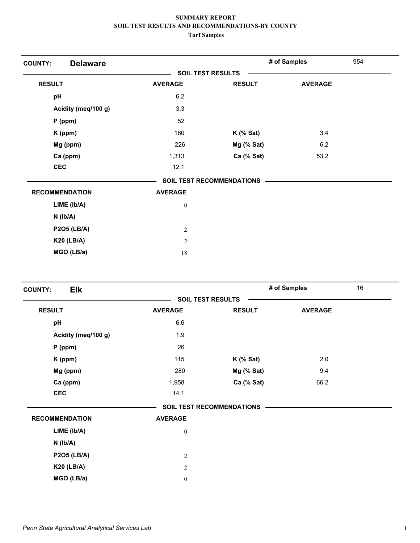| <b>Delaware</b><br><b>COUNTY:</b> |                  |                                  | # of Samples   | 954 |
|-----------------------------------|------------------|----------------------------------|----------------|-----|
|                                   |                  | <b>SOIL TEST RESULTS</b>         |                |     |
| <b>RESULT</b>                     | <b>AVERAGE</b>   | <b>RESULT</b>                    | <b>AVERAGE</b> |     |
| pH                                | 6.2              |                                  |                |     |
| Acidity (meq/100 g)               | 3.3              |                                  |                |     |
| $P$ (ppm)                         | 52               |                                  |                |     |
| K (ppm)                           | 160              | $K$ (% Sat)                      | 3.4            |     |
| Mg (ppm)                          | 226              | Mg (% Sat)                       | 6.2            |     |
| Ca (ppm)                          | 1,313            | Ca (% Sat)                       | 53.2           |     |
| <b>CEC</b>                        | 12.1             |                                  |                |     |
|                                   |                  | <b>SOIL TEST RECOMMENDATIONS</b> |                |     |
| <b>RECOMMENDATION</b>             | <b>AVERAGE</b>   |                                  |                |     |
| LIME (lb/A)                       | $\boldsymbol{0}$ |                                  |                |     |
| $N$ ( $Ib/A$ )                    |                  |                                  |                |     |
| <b>P2O5 (LB/A)</b>                | $\overline{2}$   |                                  |                |     |
| <b>K20 (LB/A)</b>                 | $\overline{2}$   |                                  |                |     |
| MGO (LB/a)                        | 18               |                                  |                |     |

| <b>Elk</b><br><b>COUNTY:</b> |                          |                                  | # of Samples   | 16 |
|------------------------------|--------------------------|----------------------------------|----------------|----|
|                              | <b>SOIL TEST RESULTS</b> |                                  |                |    |
| <b>RESULT</b>                | <b>AVERAGE</b>           | <b>RESULT</b>                    | <b>AVERAGE</b> |    |
| pH                           | $6.6\,$                  |                                  |                |    |
| Acidity (meq/100 g)          | 1.9                      |                                  |                |    |
| $P$ (ppm)                    | 26                       |                                  |                |    |
| K (ppm)                      | 115                      | $K$ (% Sat)                      | 2.0            |    |
| Mg (ppm)                     | 280                      | Mg (% Sat)                       | 9.4            |    |
| Ca (ppm)                     | 1,958                    | Ca (% Sat)                       | 66.2           |    |
| <b>CEC</b>                   | 14.1                     |                                  |                |    |
|                              |                          | <b>SOIL TEST RECOMMENDATIONS</b> |                |    |
| <b>RECOMMENDATION</b>        | <b>AVERAGE</b>           |                                  |                |    |
| $LIME$ ( $lb/A$ )            | $\boldsymbol{0}$         |                                  |                |    |
| $N$ ( $lb/A$ )               |                          |                                  |                |    |
| <b>P2O5 (LB/A)</b>           | $\boldsymbol{2}$         |                                  |                |    |
| <b>K20 (LB/A)</b>            | $\overline{c}$           |                                  |                |    |
| MGO (LB/a)                   | $\boldsymbol{0}$         |                                  |                |    |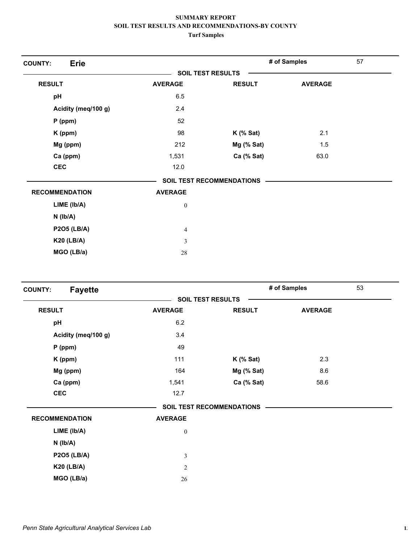| <b>Erie</b><br><b>COUNTY:</b> |                          |                           | # of Samples   | 57 |
|-------------------------------|--------------------------|---------------------------|----------------|----|
|                               | <b>SOIL TEST RESULTS</b> |                           |                |    |
| <b>RESULT</b>                 | <b>AVERAGE</b>           | <b>RESULT</b>             | <b>AVERAGE</b> |    |
| pH                            | 6.5                      |                           |                |    |
| Acidity (meq/100 g)           | 2.4                      |                           |                |    |
| $P$ (ppm)                     | 52                       |                           |                |    |
| K (ppm)                       | 98                       | $K$ (% Sat)               | 2.1            |    |
| Mg (ppm)                      | 212                      | Mg (% Sat)                | 1.5            |    |
| Ca (ppm)                      | 1,531                    | Ca (% Sat)                | 63.0           |    |
| <b>CEC</b>                    | 12.0                     |                           |                |    |
|                               |                          | SOIL TEST RECOMMENDATIONS |                |    |
| <b>RECOMMENDATION</b>         | <b>AVERAGE</b>           |                           |                |    |
| LIME (Ib/A)                   | $\boldsymbol{0}$         |                           |                |    |
| $N$ ( $Ib/A$ )                |                          |                           |                |    |
| <b>P2O5 (LB/A)</b>            | 4                        |                           |                |    |
| <b>K20 (LB/A)</b>             | 3                        |                           |                |    |
| MGO (LB/a)                    | 28                       |                           |                |    |

| <b>Fayette</b><br><b>COUNTY:</b> |                          |                                  | # of Samples   | 53 |
|----------------------------------|--------------------------|----------------------------------|----------------|----|
|                                  | <b>SOIL TEST RESULTS</b> |                                  |                |    |
| <b>RESULT</b>                    | <b>AVERAGE</b>           | <b>RESULT</b>                    | <b>AVERAGE</b> |    |
| pH                               | 6.2                      |                                  |                |    |
| Acidity (meq/100 g)              | 3.4                      |                                  |                |    |
| $P$ (ppm)                        | 49                       |                                  |                |    |
| K (ppm)                          | 111                      | $K$ (% Sat)                      | 2.3            |    |
| Mg (ppm)                         | 164                      | Mg (% Sat)                       | 8.6            |    |
| Ca (ppm)                         | 1,541                    | Ca (% Sat)                       | 58.6           |    |
| <b>CEC</b>                       | 12.7                     |                                  |                |    |
|                                  |                          | <b>SOIL TEST RECOMMENDATIONS</b> |                |    |
| <b>RECOMMENDATION</b>            | <b>AVERAGE</b>           |                                  |                |    |
| LIME (lb/A)                      | $\boldsymbol{0}$         |                                  |                |    |
| $N$ ( $Ib/A$ )                   |                          |                                  |                |    |
| <b>P2O5 (LB/A)</b>               | 3                        |                                  |                |    |
| <b>K20 (LB/A)</b>                | $\overline{2}$           |                                  |                |    |
| MGO (LB/a)                       | 26                       |                                  |                |    |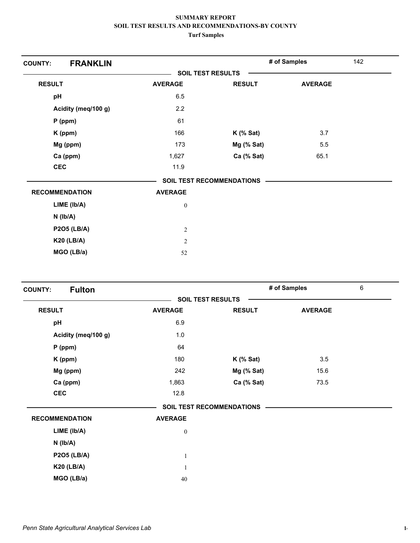| <b>FRANKLIN</b><br><b>COUNTY:</b> |                  |                                  | # of Samples   | 142 |
|-----------------------------------|------------------|----------------------------------|----------------|-----|
|                                   |                  | <b>SOIL TEST RESULTS</b>         |                |     |
| <b>RESULT</b>                     | <b>AVERAGE</b>   | <b>RESULT</b>                    | <b>AVERAGE</b> |     |
| pH                                | 6.5              |                                  |                |     |
| Acidity (meq/100 g)               | 2.2              |                                  |                |     |
| $P$ (ppm)                         | 61               |                                  |                |     |
| K (ppm)                           | 166              | $K$ (% Sat)                      | 3.7            |     |
| Mg (ppm)                          | 173              | $Mg$ (% Sat)                     | 5.5            |     |
| Ca (ppm)                          | 1,627            | Ca (% Sat)                       | 65.1           |     |
| <b>CEC</b>                        | 11.9             |                                  |                |     |
|                                   |                  | <b>SOIL TEST RECOMMENDATIONS</b> |                |     |
| <b>RECOMMENDATION</b>             | <b>AVERAGE</b>   |                                  |                |     |
| LIME (Ib/A)                       | $\boldsymbol{0}$ |                                  |                |     |
| $N$ ( $lb/A$ )                    |                  |                                  |                |     |
| <b>P2O5 (LB/A)</b>                | $\overline{2}$   |                                  |                |     |
| <b>K20 (LB/A)</b>                 | $\overline{2}$   |                                  |                |     |
| MGO (LB/a)                        | 52               |                                  |                |     |

| <b>Fulton</b><br><b>COUNTY:</b> |                          |                           | # of Samples   | 6 |
|---------------------------------|--------------------------|---------------------------|----------------|---|
|                                 | <b>SOIL TEST RESULTS</b> |                           |                |   |
| <b>RESULT</b>                   | <b>AVERAGE</b>           | <b>RESULT</b>             | <b>AVERAGE</b> |   |
| pH                              | 6.9                      |                           |                |   |
| Acidity (meq/100 g)             | 1.0                      |                           |                |   |
| $P$ (ppm)                       | 64                       |                           |                |   |
| K (ppm)                         | 180                      | $K$ (% Sat)               | 3.5            |   |
| Mg (ppm)                        | 242                      | $Mg$ (% Sat)              | 15.6           |   |
| Ca (ppm)                        | 1,863                    | Ca (% Sat)                | 73.5           |   |
| <b>CEC</b>                      | 12.8                     |                           |                |   |
|                                 |                          | SOIL TEST RECOMMENDATIONS |                |   |
| <b>RECOMMENDATION</b>           | <b>AVERAGE</b>           |                           |                |   |
| LIME (lb/A)                     | $\boldsymbol{0}$         |                           |                |   |
| $N$ ( $Ib/A$ )                  |                          |                           |                |   |
| <b>P2O5 (LB/A)</b>              | $\mathbf{1}$             |                           |                |   |
| <b>K20 (LB/A)</b>               | $\mathbf{1}$             |                           |                |   |
| MGO (LB/a)                      | 40                       |                           |                |   |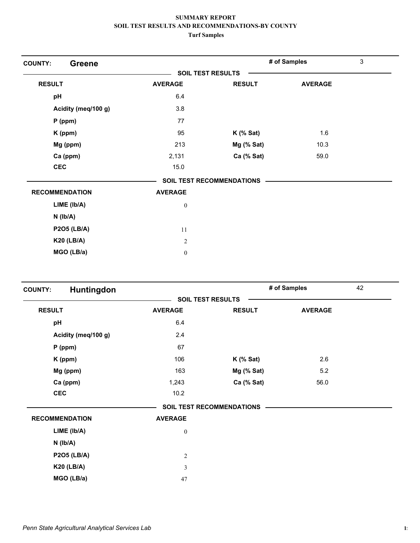| <b>Greene</b><br><b>COUNTY:</b> |                  |                                  | # of Samples   | 3 |
|---------------------------------|------------------|----------------------------------|----------------|---|
|                                 |                  | <b>SOIL TEST RESULTS</b>         |                |   |
| <b>RESULT</b>                   | <b>AVERAGE</b>   | <b>RESULT</b>                    | <b>AVERAGE</b> |   |
| pH                              | 6.4              |                                  |                |   |
| Acidity (meq/100 g)             | 3.8              |                                  |                |   |
| $P$ (ppm)                       | 77               |                                  |                |   |
| K (ppm)                         | 95               | $K$ (% Sat)                      | 1.6            |   |
| Mg (ppm)                        | 213              | Mg (% Sat)                       | 10.3           |   |
| Ca (ppm)                        | 2,131            | Ca (% Sat)                       | 59.0           |   |
| <b>CEC</b>                      | 15.0             |                                  |                |   |
|                                 |                  | <b>SOIL TEST RECOMMENDATIONS</b> |                |   |
| <b>RECOMMENDATION</b>           | <b>AVERAGE</b>   |                                  |                |   |
| LIME (Ib/A)                     | $\boldsymbol{0}$ |                                  |                |   |
| $N$ ( $Ib/A$ )                  |                  |                                  |                |   |
| <b>P2O5 (LB/A)</b>              | 11               |                                  |                |   |
| <b>K20 (LB/A)</b>               | 2                |                                  |                |   |
| MGO (LB/a)                      | $\bf{0}$         |                                  |                |   |

| Huntingdon<br><b>COUNTY:</b> |                          |                                  | # of Samples   | 42 |
|------------------------------|--------------------------|----------------------------------|----------------|----|
|                              | <b>SOIL TEST RESULTS</b> |                                  |                |    |
| <b>RESULT</b>                | <b>AVERAGE</b>           | <b>RESULT</b>                    | <b>AVERAGE</b> |    |
| pH                           | 6.4                      |                                  |                |    |
| Acidity (meq/100 g)          | 2.4                      |                                  |                |    |
| $P$ (ppm)                    | 67                       |                                  |                |    |
| K (ppm)                      | 106                      | $K$ (% Sat)                      | 2.6            |    |
| Mg (ppm)                     | 163                      | Mg (% Sat)                       | 5.2            |    |
| Ca (ppm)                     | 1,243                    | Ca (% Sat)                       | 56.0           |    |
| <b>CEC</b>                   | 10.2                     |                                  |                |    |
|                              |                          | <b>SOIL TEST RECOMMENDATIONS</b> |                |    |
| <b>RECOMMENDATION</b>        | <b>AVERAGE</b>           |                                  |                |    |
| $LIME$ ( $lb/A$ )            | $\boldsymbol{0}$         |                                  |                |    |
| $N$ ( $lb/A$ )               |                          |                                  |                |    |
| <b>P2O5 (LB/A)</b>           | $\overline{2}$           |                                  |                |    |
| <b>K20 (LB/A)</b>            | 3                        |                                  |                |    |
| MGO (LB/a)                   | 47                       |                                  |                |    |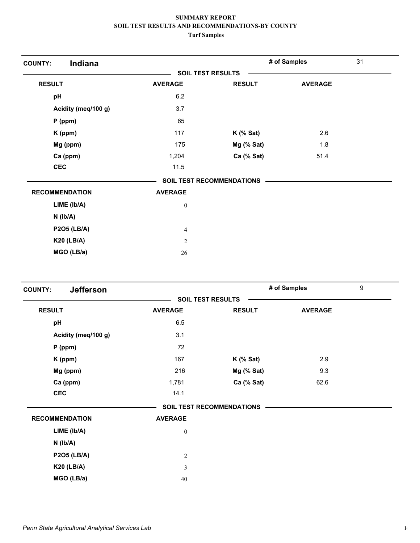| Indiana<br><b>COUNTY:</b> |                  |                                  | # of Samples   | 31 |
|---------------------------|------------------|----------------------------------|----------------|----|
|                           |                  | <b>SOIL TEST RESULTS</b>         |                |    |
| <b>RESULT</b>             | <b>AVERAGE</b>   | <b>RESULT</b>                    | <b>AVERAGE</b> |    |
| pH                        | 6.2              |                                  |                |    |
| Acidity (meq/100 g)       | 3.7              |                                  |                |    |
| $P$ (ppm)                 | 65               |                                  |                |    |
| K (ppm)                   | 117              | $K$ (% Sat)                      | 2.6            |    |
| Mg (ppm)                  | 175              | Mg (% Sat)                       | 1.8            |    |
| Ca (ppm)                  | 1,204            | Ca (% Sat)                       | 51.4           |    |
| <b>CEC</b>                | 11.5             |                                  |                |    |
|                           |                  | <b>SOIL TEST RECOMMENDATIONS</b> |                |    |
| <b>RECOMMENDATION</b>     | <b>AVERAGE</b>   |                                  |                |    |
| LIME (lb/A)               | $\boldsymbol{0}$ |                                  |                |    |
| $N$ ( $Ib/A$ )            |                  |                                  |                |    |
| <b>P2O5 (LB/A)</b>        | $\overline{4}$   |                                  |                |    |
| <b>K20 (LB/A)</b>         | $\overline{2}$   |                                  |                |    |
| MGO (LB/a)                | 26               |                                  |                |    |

| <b>Jefferson</b><br><b>COUNTY:</b> |                          |                                  | # of Samples   | 9 |
|------------------------------------|--------------------------|----------------------------------|----------------|---|
|                                    | <b>SOIL TEST RESULTS</b> |                                  |                |   |
| <b>RESULT</b>                      | <b>AVERAGE</b>           | <b>RESULT</b>                    | <b>AVERAGE</b> |   |
| pH                                 | 6.5                      |                                  |                |   |
| Acidity (meq/100 g)                | 3.1                      |                                  |                |   |
| $P$ (ppm)                          | 72                       |                                  |                |   |
| K (ppm)                            | 167                      | $K$ (% Sat)                      | 2.9            |   |
| Mg (ppm)                           | 216                      | $Mg$ (% Sat)                     | 9.3            |   |
| Ca (ppm)                           | 1,781                    | Ca (% Sat)                       | 62.6           |   |
| <b>CEC</b>                         | 14.1                     |                                  |                |   |
|                                    |                          | <b>SOIL TEST RECOMMENDATIONS</b> |                |   |
| <b>RECOMMENDATION</b>              | <b>AVERAGE</b>           |                                  |                |   |
| $LIME$ ( $lb/A$ )                  | $\boldsymbol{0}$         |                                  |                |   |
| $N$ ( $lb/A$ )                     |                          |                                  |                |   |
| <b>P2O5 (LB/A)</b>                 | $\mathbf{2}$             |                                  |                |   |
| <b>K20 (LB/A)</b>                  | 3                        |                                  |                |   |
| MGO (LB/a)                         | 40                       |                                  |                |   |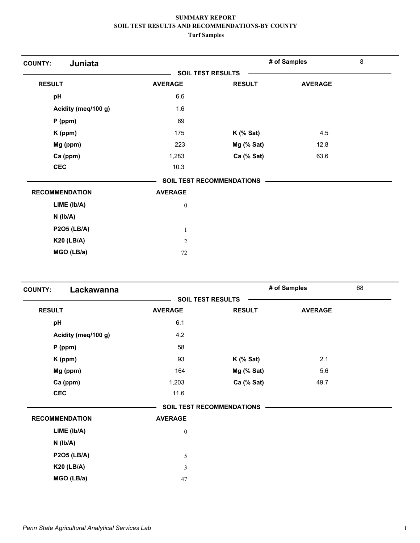| Juniata<br><b>COUNTY:</b> |                          |                                  | # of Samples   | 8 |
|---------------------------|--------------------------|----------------------------------|----------------|---|
|                           | <b>SOIL TEST RESULTS</b> |                                  |                |   |
| <b>RESULT</b>             | <b>AVERAGE</b>           | <b>RESULT</b>                    | <b>AVERAGE</b> |   |
| pH                        | 6.6                      |                                  |                |   |
| Acidity (meq/100 g)       | 1.6                      |                                  |                |   |
| $P$ (ppm)                 | 69                       |                                  |                |   |
| K (ppm)                   | 175                      | $K$ (% Sat)                      | 4.5            |   |
| Mg (ppm)                  | 223                      | Mg (% Sat)                       | 12.8           |   |
| Ca (ppm)                  | 1,283                    | Ca (% Sat)                       | 63.6           |   |
| <b>CEC</b>                | 10.3                     |                                  |                |   |
|                           |                          | <b>SOIL TEST RECOMMENDATIONS</b> |                |   |
| <b>RECOMMENDATION</b>     | <b>AVERAGE</b>           |                                  |                |   |
| LIME (Ib/A)               | $\bf{0}$                 |                                  |                |   |
| $N$ ( $Ib/A$ )            |                          |                                  |                |   |
| <b>P2O5 (LB/A)</b>        | $\mathbf{1}$             |                                  |                |   |
| <b>K20 (LB/A)</b>         | 2                        |                                  |                |   |
| MGO (LB/a)                | $72\,$                   |                                  |                |   |

| Lackawanna<br><b>COUNTY:</b> |                          |                           | # of Samples   | 68 |
|------------------------------|--------------------------|---------------------------|----------------|----|
|                              | <b>SOIL TEST RESULTS</b> |                           |                |    |
| <b>RESULT</b>                | <b>AVERAGE</b>           | <b>RESULT</b>             | <b>AVERAGE</b> |    |
| pH                           | 6.1                      |                           |                |    |
| Acidity (meq/100 g)          | 4.2                      |                           |                |    |
| $P$ (ppm)                    | 58                       |                           |                |    |
| K (ppm)                      | 93                       | $K$ (% Sat)               | 2.1            |    |
| Mg (ppm)                     | 164                      | Mg (% Sat)                | 5.6            |    |
| Ca (ppm)                     | 1,203                    | Ca (% Sat)                | 49.7           |    |
| <b>CEC</b>                   | 11.6                     |                           |                |    |
|                              |                          | SOIL TEST RECOMMENDATIONS |                |    |
| <b>RECOMMENDATION</b>        | <b>AVERAGE</b>           |                           |                |    |
| LIME (lb/A)                  | $\boldsymbol{0}$         |                           |                |    |
| $N$ ( $Ib/A$ )               |                          |                           |                |    |
| <b>P2O5 (LB/A)</b>           | $\mathfrak s$            |                           |                |    |
| <b>K20 (LB/A)</b>            | $\mathfrak{Z}$           |                           |                |    |
| MGO (LB/a)                   | 47                       |                           |                |    |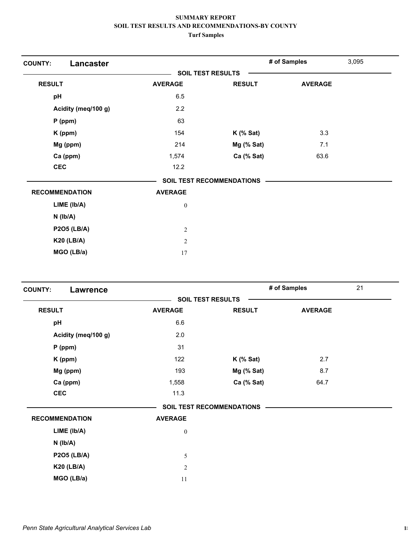| Lancaster<br><b>COUNTY:</b> |                |                                  | # of Samples   | 3,095 |
|-----------------------------|----------------|----------------------------------|----------------|-------|
|                             |                | <b>SOIL TEST RESULTS</b>         |                |       |
| <b>RESULT</b>               | <b>AVERAGE</b> | <b>RESULT</b>                    | <b>AVERAGE</b> |       |
| pH                          | 6.5            |                                  |                |       |
| Acidity (meq/100 g)         | 2.2            |                                  |                |       |
| $P$ (ppm)                   | 63             |                                  |                |       |
| K (ppm)                     | 154            | $K$ (% Sat)                      | 3.3            |       |
| Mg (ppm)                    | 214            | Mg (% Sat)                       | 7.1            |       |
| Ca (ppm)                    | 1,574          | Ca (% Sat)                       | 63.6           |       |
| <b>CEC</b>                  | 12.2           |                                  |                |       |
|                             |                | <b>SOIL TEST RECOMMENDATIONS</b> |                |       |
| <b>RECOMMENDATION</b>       | <b>AVERAGE</b> |                                  |                |       |
| LIME (lb/A)                 | $\bf{0}$       |                                  |                |       |
| $N$ ( $Ib/A$ )              |                |                                  |                |       |
| <b>P2O5 (LB/A)</b>          | $\overline{2}$ |                                  |                |       |
| <b>K20 (LB/A)</b>           | $\overline{2}$ |                                  |                |       |
| MGO (LB/a)                  | 17             |                                  |                |       |

| <b>COUNTY:</b><br><b>Lawrence</b> |                          |                                  | # of Samples   | 21 |
|-----------------------------------|--------------------------|----------------------------------|----------------|----|
|                                   | <b>SOIL TEST RESULTS</b> |                                  |                |    |
| <b>RESULT</b>                     | <b>AVERAGE</b>           | <b>RESULT</b>                    | <b>AVERAGE</b> |    |
| pH                                | 6.6                      |                                  |                |    |
| Acidity (meq/100 g)               | 2.0                      |                                  |                |    |
| $P$ (ppm)                         | 31                       |                                  |                |    |
| K (ppm)                           | 122                      | $K$ (% Sat)                      | 2.7            |    |
| Mg (ppm)                          | 193                      | Mg (% Sat)                       | 8.7            |    |
| Ca (ppm)                          | 1,558                    | Ca (% Sat)                       | 64.7           |    |
| <b>CEC</b>                        | 11.3                     |                                  |                |    |
|                                   |                          | <b>SOIL TEST RECOMMENDATIONS</b> |                |    |
| <b>RECOMMENDATION</b>             | <b>AVERAGE</b>           |                                  |                |    |
| $LIME$ ( $lb/A$ )                 | $\boldsymbol{0}$         |                                  |                |    |
| $N$ ( $Ib/A$ )                    |                          |                                  |                |    |
| <b>P2O5 (LB/A)</b>                | 5                        |                                  |                |    |
| <b>K20 (LB/A)</b>                 | $\overline{c}$           |                                  |                |    |
| MGO (LB/a)                        | 11                       |                                  |                |    |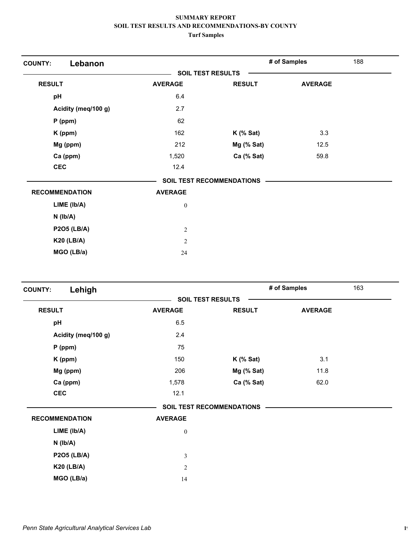| Lebanon<br><b>COUNTY:</b> |                |                                  | # of Samples   | 188 |
|---------------------------|----------------|----------------------------------|----------------|-----|
|                           |                | <b>SOIL TEST RESULTS</b>         |                |     |
| <b>RESULT</b>             | <b>AVERAGE</b> | <b>RESULT</b>                    | <b>AVERAGE</b> |     |
| pH                        | 6.4            |                                  |                |     |
| Acidity (meq/100 g)       | 2.7            |                                  |                |     |
| $P$ (ppm)                 | 62             |                                  |                |     |
| K (ppm)                   | 162            | $K$ (% Sat)                      | 3.3            |     |
| Mg (ppm)                  | 212            | Mg (% Sat)                       | 12.5           |     |
| Ca (ppm)                  | 1,520          | Ca (% Sat)                       | 59.8           |     |
| <b>CEC</b>                | 12.4           |                                  |                |     |
|                           |                | <b>SOIL TEST RECOMMENDATIONS</b> |                |     |
| <b>RECOMMENDATION</b>     | <b>AVERAGE</b> |                                  |                |     |
| $LIME$ ( $lb/A$ )         | $\bf{0}$       |                                  |                |     |
| $N$ ( $Ib/A$ )            |                |                                  |                |     |
| <b>P2O5 (LB/A)</b>        | $\overline{c}$ |                                  |                |     |
| <b>K20 (LB/A)</b>         | 2              |                                  |                |     |
| MGO (LB/a)                | 24             |                                  |                |     |

| Lehigh<br><b>COUNTY:</b> |                          |                                  | # of Samples   | 163 |
|--------------------------|--------------------------|----------------------------------|----------------|-----|
|                          | <b>SOIL TEST RESULTS</b> |                                  |                |     |
| <b>RESULT</b>            | <b>AVERAGE</b>           | <b>RESULT</b>                    | <b>AVERAGE</b> |     |
| pH                       | 6.5                      |                                  |                |     |
| Acidity (meq/100 g)      | 2.4                      |                                  |                |     |
| $P$ (ppm)                | 75                       |                                  |                |     |
| K (ppm)                  | 150                      | $K$ (% Sat)                      | 3.1            |     |
| Mg (ppm)                 | 206                      | Mg (% Sat)                       | 11.8           |     |
| Ca (ppm)                 | 1,578                    | Ca (% Sat)                       | 62.0           |     |
| <b>CEC</b>               | 12.1                     |                                  |                |     |
|                          |                          | <b>SOIL TEST RECOMMENDATIONS</b> |                |     |
| <b>RECOMMENDATION</b>    | <b>AVERAGE</b>           |                                  |                |     |
| $LIME$ ( $lb/A$ )        | $\boldsymbol{0}$         |                                  |                |     |
| $N$ ( $lb/A$ )           |                          |                                  |                |     |
| <b>P2O5 (LB/A)</b>       | 3                        |                                  |                |     |
| <b>K20 (LB/A)</b>        | $\overline{2}$           |                                  |                |     |
| MGO (LB/a)               | 14                       |                                  |                |     |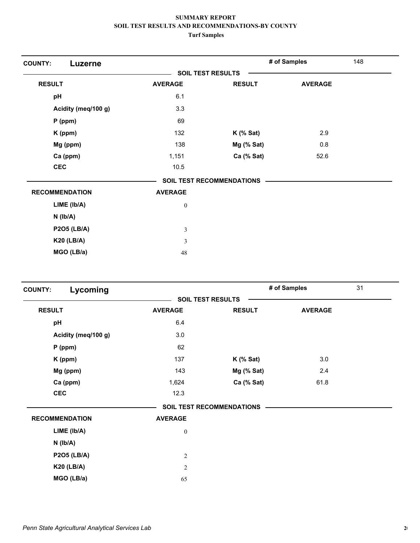| <b>COUNTY:</b><br>Luzerne |                  |                                  | # of Samples   | 148 |
|---------------------------|------------------|----------------------------------|----------------|-----|
|                           |                  | <b>SOIL TEST RESULTS</b>         |                |     |
| <b>RESULT</b>             | <b>AVERAGE</b>   | <b>RESULT</b>                    | <b>AVERAGE</b> |     |
| pH                        | 6.1              |                                  |                |     |
| Acidity (meq/100 g)       | 3.3              |                                  |                |     |
| $P$ (ppm)                 | 69               |                                  |                |     |
| K (ppm)                   | 132              | $K$ (% Sat)                      | 2.9            |     |
| Mg (ppm)                  | 138              | Mg (% Sat)                       | 0.8            |     |
| Ca (ppm)                  | 1,151            | Ca (% Sat)                       | 52.6           |     |
| <b>CEC</b>                | 10.5             |                                  |                |     |
|                           |                  | <b>SOIL TEST RECOMMENDATIONS</b> |                |     |
| <b>RECOMMENDATION</b>     | <b>AVERAGE</b>   |                                  |                |     |
| LIME (Ib/A)               | $\boldsymbol{0}$ |                                  |                |     |
| $N$ ( $lb/A$ )            |                  |                                  |                |     |
| <b>P2O5 (LB/A)</b>        | 3                |                                  |                |     |
| <b>K20 (LB/A)</b>         | $\overline{3}$   |                                  |                |     |
| MGO (LB/a)                | 48               |                                  |                |     |

| Lycoming<br><b>COUNTY:</b> |                          |                           | # of Samples   | 31 |
|----------------------------|--------------------------|---------------------------|----------------|----|
|                            | <b>SOIL TEST RESULTS</b> |                           |                |    |
| <b>RESULT</b>              | <b>AVERAGE</b>           | <b>RESULT</b>             | <b>AVERAGE</b> |    |
| pH                         | 6.4                      |                           |                |    |
| Acidity (meq/100 g)        | 3.0                      |                           |                |    |
| $P$ (ppm)                  | 62                       |                           |                |    |
| K (ppm)                    | 137                      | $K$ (% Sat)               | 3.0            |    |
| Mg (ppm)                   | 143                      | $Mg$ (% Sat)              | 2.4            |    |
| Ca (ppm)                   | 1,624                    | Ca (% Sat)                | 61.8           |    |
| <b>CEC</b>                 | 12.3                     |                           |                |    |
|                            |                          | SOIL TEST RECOMMENDATIONS |                |    |
| <b>RECOMMENDATION</b>      | <b>AVERAGE</b>           |                           |                |    |
| $LIME$ ( $lb/A$ )          | $\boldsymbol{0}$         |                           |                |    |
| $N$ ( $lb/A$ )             |                          |                           |                |    |
| <b>P2O5 (LB/A)</b>         | $\overline{c}$           |                           |                |    |
| <b>K20 (LB/A)</b>          | $\mathfrak{2}$           |                           |                |    |
| MGO (LB/a)                 | 65                       |                           |                |    |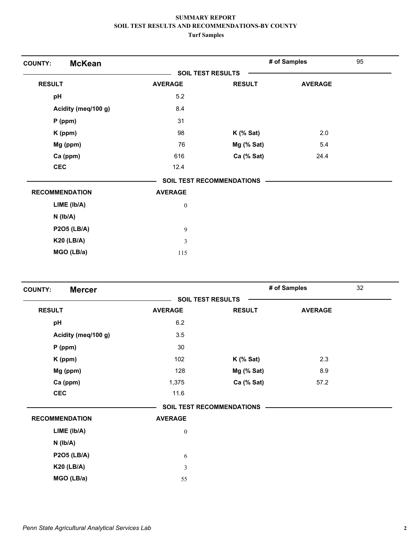| <b>McKean</b><br><b>COUNTY:</b> |                  |                           | # of Samples   | 95 |
|---------------------------------|------------------|---------------------------|----------------|----|
|                                 |                  | <b>SOIL TEST RESULTS</b>  |                |    |
| <b>RESULT</b>                   | <b>AVERAGE</b>   | <b>RESULT</b>             | <b>AVERAGE</b> |    |
| pH                              | 5.2              |                           |                |    |
| Acidity (meq/100 g)             | 8.4              |                           |                |    |
| $P$ (ppm)                       | 31               |                           |                |    |
| K (ppm)                         | 98               | $K$ (% Sat)               | 2.0            |    |
| Mg (ppm)                        | 76               | Mg (% Sat)                | 5.4            |    |
| Ca (ppm)                        | 616              | Ca (% Sat)                | 24.4           |    |
| <b>CEC</b>                      | 12.4             |                           |                |    |
|                                 |                  | SOIL TEST RECOMMENDATIONS |                |    |
| <b>RECOMMENDATION</b>           | <b>AVERAGE</b>   |                           |                |    |
| LIME (Ib/A)                     | $\boldsymbol{0}$ |                           |                |    |
| $N$ ( $lb/A$ )                  |                  |                           |                |    |
| <b>P2O5 (LB/A)</b>              | 9                |                           |                |    |
| <b>K20 (LB/A)</b>               | $\overline{3}$   |                           |                |    |
| MGO (LB/a)                      | 115              |                           |                |    |

| <b>Mercer</b><br><b>COUNTY:</b> |                          |                                  | # of Samples   | 32 |
|---------------------------------|--------------------------|----------------------------------|----------------|----|
|                                 | <b>SOIL TEST RESULTS</b> |                                  |                |    |
| <b>RESULT</b>                   | <b>AVERAGE</b>           | <b>RESULT</b>                    | <b>AVERAGE</b> |    |
| pH                              | 6.2                      |                                  |                |    |
| Acidity (meq/100 g)             | 3.5                      |                                  |                |    |
| $P$ (ppm)                       | 30                       |                                  |                |    |
| K (ppm)                         | 102                      | $K$ (% Sat)                      | 2.3            |    |
| Mg (ppm)                        | 128                      | Mg (% Sat)                       | 8.9            |    |
| Ca (ppm)                        | 1,375                    | Ca (% Sat)                       | 57.2           |    |
| <b>CEC</b>                      | 11.6                     |                                  |                |    |
|                                 |                          | <b>SOIL TEST RECOMMENDATIONS</b> |                |    |
| <b>RECOMMENDATION</b>           | <b>AVERAGE</b>           |                                  |                |    |
| $LIME$ ( $lb/A$ )               | $\boldsymbol{0}$         |                                  |                |    |
| $N$ ( $lb/A$ )                  |                          |                                  |                |    |
| <b>P2O5 (LB/A)</b>              | 6                        |                                  |                |    |
| <b>K20 (LB/A)</b>               | 3                        |                                  |                |    |
| MGO (LB/a)                      | 55                       |                                  |                |    |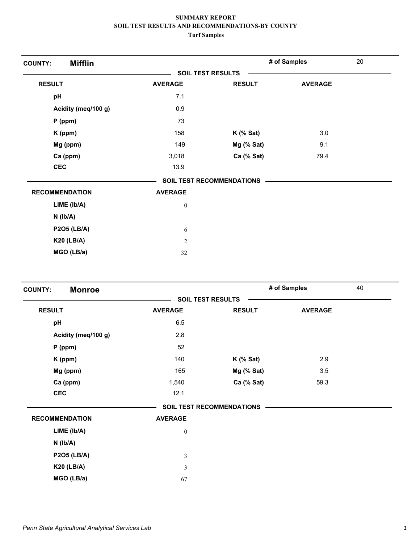| <b>Mifflin</b><br><b>COUNTY:</b> |                  |                                  | # of Samples   | 20 |
|----------------------------------|------------------|----------------------------------|----------------|----|
|                                  |                  | <b>SOIL TEST RESULTS</b>         |                |    |
| <b>RESULT</b>                    | <b>AVERAGE</b>   | <b>RESULT</b>                    | <b>AVERAGE</b> |    |
| pH                               | 7.1              |                                  |                |    |
| Acidity (meq/100 g)              | 0.9              |                                  |                |    |
| $P$ (ppm)                        | 73               |                                  |                |    |
| K (ppm)                          | 158              | $K$ (% Sat)                      | 3.0            |    |
| Mg (ppm)                         | 149              | $Mg$ (% Sat)                     | 9.1            |    |
| Ca (ppm)                         | 3,018            | Ca (% Sat)                       | 79.4           |    |
| <b>CEC</b>                       | 13.9             |                                  |                |    |
|                                  |                  | <b>SOIL TEST RECOMMENDATIONS</b> |                |    |
| <b>RECOMMENDATION</b>            | <b>AVERAGE</b>   |                                  |                |    |
| LIME (Ib/A)                      | $\boldsymbol{0}$ |                                  |                |    |
| $N$ ( $lb/A$ )                   |                  |                                  |                |    |
| <b>P2O5 (LB/A)</b>               | 6                |                                  |                |    |
| <b>K20 (LB/A)</b>                | $\overline{2}$   |                                  |                |    |
| MGO (LB/a)                       | 32               |                                  |                |    |

| <b>Monroe</b><br><b>COUNTY:</b> |                          |                           | # of Samples   | 40 |
|---------------------------------|--------------------------|---------------------------|----------------|----|
|                                 | <b>SOIL TEST RESULTS</b> |                           |                |    |
| <b>RESULT</b>                   | <b>AVERAGE</b>           | <b>RESULT</b>             | <b>AVERAGE</b> |    |
| pH                              | 6.5                      |                           |                |    |
| Acidity (meq/100 g)             | 2.8                      |                           |                |    |
| $P$ (ppm)                       | 52                       |                           |                |    |
| K (ppm)                         | 140                      | $K$ (% Sat)               | 2.9            |    |
| Mg (ppm)                        | 165                      | $Mg$ (% Sat)              | 3.5            |    |
| Ca (ppm)                        | 1,540                    | Ca (% Sat)                | 59.3           |    |
| <b>CEC</b>                      | 12.1                     |                           |                |    |
|                                 |                          | SOIL TEST RECOMMENDATIONS |                |    |
| <b>RECOMMENDATION</b>           | <b>AVERAGE</b>           |                           |                |    |
| LIME (lb/A)                     | $\boldsymbol{0}$         |                           |                |    |
| $N$ ( $lb/A$ )                  |                          |                           |                |    |
| <b>P2O5 (LB/A)</b>              | $\mathfrak{Z}$           |                           |                |    |
| <b>K20 (LB/A)</b>               | 3                        |                           |                |    |
| MGO (LB/a)                      | 67                       |                           |                |    |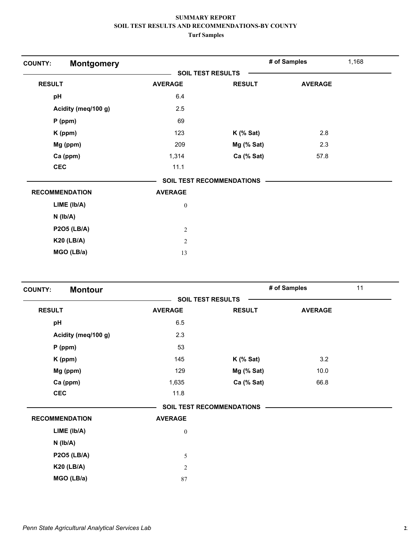| <b>Montgomery</b><br><b>COUNTY:</b> |                  |                                  | # of Samples   | 1,168 |
|-------------------------------------|------------------|----------------------------------|----------------|-------|
|                                     |                  | <b>SOIL TEST RESULTS</b>         |                |       |
| <b>RESULT</b>                       | <b>AVERAGE</b>   | <b>RESULT</b>                    | <b>AVERAGE</b> |       |
| pH                                  | 6.4              |                                  |                |       |
| Acidity (meq/100 g)                 | 2.5              |                                  |                |       |
| $P$ (ppm)                           | 69               |                                  |                |       |
| K (ppm)                             | 123              | $K$ (% Sat)                      | 2.8            |       |
| Mg (ppm)                            | 209              | Mg (% Sat)                       | 2.3            |       |
| Ca (ppm)                            | 1,314            | Ca (% Sat)                       | 57.8           |       |
| <b>CEC</b>                          | 11.1             |                                  |                |       |
|                                     |                  | <b>SOIL TEST RECOMMENDATIONS</b> |                |       |
| <b>RECOMMENDATION</b>               | <b>AVERAGE</b>   |                                  |                |       |
| $LIME$ ( $lb/A$ )                   | $\boldsymbol{0}$ |                                  |                |       |
| $N$ ( $lb/A$ )                      |                  |                                  |                |       |
| <b>P2O5 (LB/A)</b>                  | $\overline{c}$   |                                  |                |       |
| <b>K20 (LB/A)</b>                   | $\overline{2}$   |                                  |                |       |
| MGO (LB/a)                          | 13               |                                  |                |       |

| <b>Montour</b><br><b>COUNTY:</b> |                          |                                  | # of Samples   | 11 |
|----------------------------------|--------------------------|----------------------------------|----------------|----|
|                                  | <b>SOIL TEST RESULTS</b> |                                  |                |    |
| <b>RESULT</b>                    | <b>AVERAGE</b>           | <b>RESULT</b>                    | <b>AVERAGE</b> |    |
| pH                               | 6.5                      |                                  |                |    |
| Acidity (meq/100 g)              | 2.3                      |                                  |                |    |
| $P$ (ppm)                        | 53                       |                                  |                |    |
| K (ppm)                          | 145                      | $K$ (% Sat)                      | 3.2            |    |
| Mg (ppm)                         | 129                      | $Mg$ (% Sat)                     | 10.0           |    |
| Ca (ppm)                         | 1,635                    | Ca (% Sat)                       | 66.8           |    |
| <b>CEC</b>                       | 11.8                     |                                  |                |    |
|                                  |                          | <b>SOIL TEST RECOMMENDATIONS</b> |                |    |
| <b>RECOMMENDATION</b>            | <b>AVERAGE</b>           |                                  |                |    |
| LIME (Ib/A)                      | $\boldsymbol{0}$         |                                  |                |    |
| $N$ ( $lb/A$ )                   |                          |                                  |                |    |
| <b>P2O5 (LB/A)</b>               | 5                        |                                  |                |    |
| <b>K20 (LB/A)</b>                | $\mathfrak{2}$           |                                  |                |    |
| MGO (LB/a)                       | 87                       |                                  |                |    |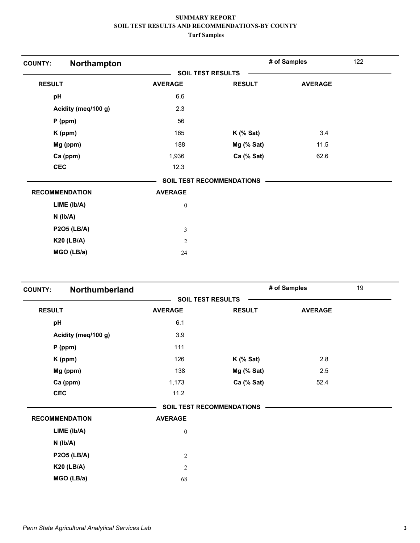| Northampton<br><b>COUNTY:</b> |                  |                                  | # of Samples   | 122 |
|-------------------------------|------------------|----------------------------------|----------------|-----|
|                               |                  | <b>SOIL TEST RESULTS</b>         |                |     |
| <b>RESULT</b>                 | <b>AVERAGE</b>   | <b>RESULT</b>                    | <b>AVERAGE</b> |     |
| pH                            | 6.6              |                                  |                |     |
| Acidity (meq/100 g)           | 2.3              |                                  |                |     |
| $P$ (ppm)                     | 56               |                                  |                |     |
| K (ppm)                       | 165              | $K$ (% Sat)                      | 3.4            |     |
| Mg (ppm)                      | 188              | Mg (% Sat)                       | 11.5           |     |
| Ca (ppm)                      | 1,936            | Ca (% Sat)                       | 62.6           |     |
| <b>CEC</b>                    | 12.3             |                                  |                |     |
|                               |                  | <b>SOIL TEST RECOMMENDATIONS</b> |                |     |
| <b>RECOMMENDATION</b>         | <b>AVERAGE</b>   |                                  |                |     |
| $LIME$ ( $lb/A$ )             | $\boldsymbol{0}$ |                                  |                |     |
| $N$ ( $lb/A$ )                |                  |                                  |                |     |
| <b>P2O5 (LB/A)</b>            | 3                |                                  |                |     |
| <b>K20 (LB/A)</b>             | $\overline{c}$   |                                  |                |     |
| MGO (LB/a)                    | 24               |                                  |                |     |

| <b>COUNTY:</b> | Northumberland        |                          |                                  | # of Samples   | 19 |
|----------------|-----------------------|--------------------------|----------------------------------|----------------|----|
|                |                       | <b>SOIL TEST RESULTS</b> |                                  |                |    |
| <b>RESULT</b>  |                       | <b>AVERAGE</b>           | <b>RESULT</b>                    | <b>AVERAGE</b> |    |
| pH             |                       | 6.1                      |                                  |                |    |
|                | Acidity (meq/100 g)   | 3.9                      |                                  |                |    |
|                | $P$ (ppm)             | 111                      |                                  |                |    |
|                | K (ppm)               | 126                      | $K$ (% Sat)                      | 2.8            |    |
|                | Mg (ppm)              | 138                      | $Mg$ (% Sat)                     | 2.5            |    |
|                | Ca (ppm)              | 1,173                    | Ca (% Sat)                       | 52.4           |    |
|                | <b>CEC</b>            | 11.2                     |                                  |                |    |
|                |                       |                          | <b>SOIL TEST RECOMMENDATIONS</b> |                |    |
|                | <b>RECOMMENDATION</b> | <b>AVERAGE</b>           |                                  |                |    |
|                | LIME (Ib/A)           | $\boldsymbol{0}$         |                                  |                |    |
|                | $N$ ( $lb/A$ )        |                          |                                  |                |    |
|                | <b>P2O5 (LB/A)</b>    | $\overline{2}$           |                                  |                |    |
|                | <b>K20 (LB/A)</b>     | $\overline{2}$           |                                  |                |    |
|                | MGO (LB/a)            | 68                       |                                  |                |    |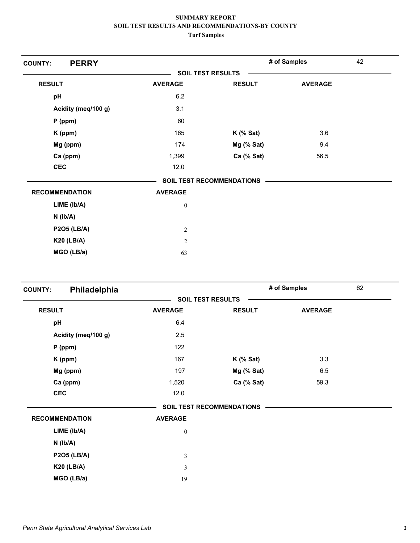| <b>PERRY</b><br><b>COUNTY:</b> |                          |                           | # of Samples   | 42 |
|--------------------------------|--------------------------|---------------------------|----------------|----|
|                                | <b>SOIL TEST RESULTS</b> |                           |                |    |
| <b>RESULT</b>                  | <b>AVERAGE</b>           | <b>RESULT</b>             | <b>AVERAGE</b> |    |
| pH                             | 6.2                      |                           |                |    |
| Acidity (meq/100 g)            | 3.1                      |                           |                |    |
| $P$ (ppm)                      | 60                       |                           |                |    |
| K (ppm)                        | 165                      | $K$ (% Sat)               | 3.6            |    |
| Mg (ppm)                       | 174                      | Mg (% Sat)                | 9.4            |    |
| Ca (ppm)                       | 1,399                    | Ca (% Sat)                | 56.5           |    |
| <b>CEC</b>                     | 12.0                     |                           |                |    |
|                                |                          | SOIL TEST RECOMMENDATIONS |                |    |
| <b>RECOMMENDATION</b>          | <b>AVERAGE</b>           |                           |                |    |
| LIME (lb/A)                    | $\boldsymbol{0}$         |                           |                |    |
| $N$ ( $Ib/A$ )                 |                          |                           |                |    |
| <b>P2O5 (LB/A)</b>             | $\overline{c}$           |                           |                |    |
| <b>K20 (LB/A)</b>              | 2                        |                           |                |    |
| MGO (LB/a)                     | 63                       |                           |                |    |

| Philadelphia<br><b>COUNTY:</b> |                          |                                  | # of Samples   | 62 |
|--------------------------------|--------------------------|----------------------------------|----------------|----|
|                                | <b>SOIL TEST RESULTS</b> |                                  |                |    |
| <b>RESULT</b>                  | <b>AVERAGE</b>           | <b>RESULT</b>                    | <b>AVERAGE</b> |    |
| pH                             | 6.4                      |                                  |                |    |
| Acidity (meq/100 g)            | 2.5                      |                                  |                |    |
| $P$ (ppm)                      | 122                      |                                  |                |    |
| K (ppm)                        | 167                      | $K$ (% Sat)                      | 3.3            |    |
| Mg (ppm)                       | 197                      | Mg (% Sat)                       | 6.5            |    |
| Ca (ppm)                       | 1,520                    | Ca (% Sat)                       | 59.3           |    |
| <b>CEC</b>                     | 12.0                     |                                  |                |    |
|                                |                          | <b>SOIL TEST RECOMMENDATIONS</b> |                |    |
| <b>RECOMMENDATION</b>          | <b>AVERAGE</b>           |                                  |                |    |
| $LIME$ ( $lb/A$ )              | $\boldsymbol{0}$         |                                  |                |    |
| $N$ ( $lb/A$ )                 |                          |                                  |                |    |
| <b>P2O5 (LB/A)</b>             | 3                        |                                  |                |    |
| <b>K20 (LB/A)</b>              | 3                        |                                  |                |    |
| MGO (LB/a)                     | 19                       |                                  |                |    |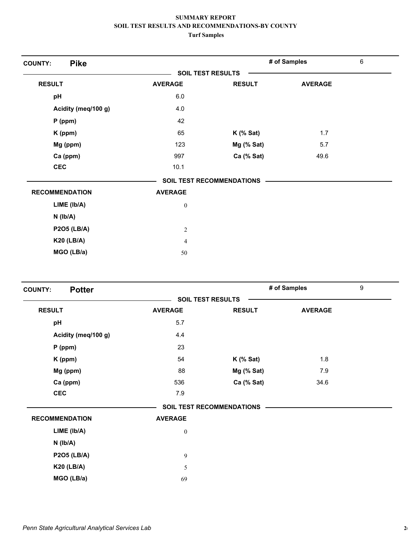| <b>Pike</b><br><b>COUNTY:</b> |                  |                                  | # of Samples   | 6 |
|-------------------------------|------------------|----------------------------------|----------------|---|
|                               |                  | <b>SOIL TEST RESULTS</b>         |                |   |
| <b>RESULT</b>                 | <b>AVERAGE</b>   | <b>RESULT</b>                    | <b>AVERAGE</b> |   |
| pH                            | 6.0              |                                  |                |   |
| Acidity (meq/100 g)           | 4.0              |                                  |                |   |
| $P$ (ppm)                     | 42               |                                  |                |   |
| K (ppm)                       | 65               | $K$ (% Sat)                      | 1.7            |   |
| Mg (ppm)                      | 123              | Mg (% Sat)                       | 5.7            |   |
| Ca (ppm)                      | 997              | Ca (% Sat)                       | 49.6           |   |
| <b>CEC</b>                    | 10.1             |                                  |                |   |
|                               |                  | <b>SOIL TEST RECOMMENDATIONS</b> |                |   |
| <b>RECOMMENDATION</b>         | <b>AVERAGE</b>   |                                  |                |   |
| LIME (lb/A)                   | $\boldsymbol{0}$ |                                  |                |   |
| $N$ ( $Ib/A$ )                |                  |                                  |                |   |
| <b>P2O5 (LB/A)</b>            | $\overline{c}$   |                                  |                |   |
| <b>K20 (LB/A)</b>             | 4                |                                  |                |   |
| MGO (LB/a)                    | 50               |                                  |                |   |

| <b>Potter</b><br><b>COUNTY:</b> |                          |                                  | # of Samples   | 9 |
|---------------------------------|--------------------------|----------------------------------|----------------|---|
|                                 | <b>SOIL TEST RESULTS</b> |                                  |                |   |
| <b>RESULT</b>                   | <b>AVERAGE</b>           | <b>RESULT</b>                    | <b>AVERAGE</b> |   |
| pH                              | 5.7                      |                                  |                |   |
| Acidity (meq/100 g)             | 4.4                      |                                  |                |   |
| $P$ (ppm)                       | 23                       |                                  |                |   |
| K (ppm)                         | 54                       | $K$ (% Sat)                      | 1.8            |   |
| Mg (ppm)                        | 88                       | $Mg$ (% Sat)                     | 7.9            |   |
| Ca (ppm)                        | 536                      | Ca (% Sat)                       | 34.6           |   |
| <b>CEC</b>                      | 7.9                      |                                  |                |   |
|                                 |                          | <b>SOIL TEST RECOMMENDATIONS</b> |                |   |
| <b>RECOMMENDATION</b>           | <b>AVERAGE</b>           |                                  |                |   |
| LIME (Ib/A)                     | $\boldsymbol{0}$         |                                  |                |   |
| $N$ ( $lb/A$ )                  |                          |                                  |                |   |
| <b>P2O5 (LB/A)</b>              | 9                        |                                  |                |   |
| <b>K20 (LB/A)</b>               | 5                        |                                  |                |   |
| MGO (LB/a)                      | 69                       |                                  |                |   |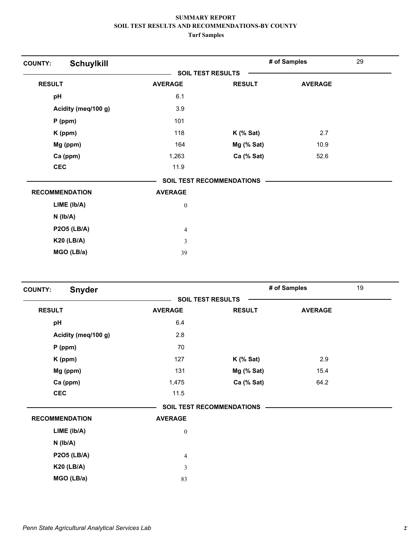| <b>Schuylkill</b><br><b>COUNTY:</b> |                |                           | # of Samples   | 29 |
|-------------------------------------|----------------|---------------------------|----------------|----|
|                                     |                | <b>SOIL TEST RESULTS</b>  |                |    |
| <b>RESULT</b>                       | <b>AVERAGE</b> | <b>RESULT</b>             | <b>AVERAGE</b> |    |
| pH                                  | 6.1            |                           |                |    |
| Acidity (meq/100 g)                 | 3.9            |                           |                |    |
| $P$ (ppm)                           | 101            |                           |                |    |
| K (ppm)                             | 118            | $K$ (% Sat)               | 2.7            |    |
| Mg (ppm)                            | 164            | Mg (% Sat)                | 10.9           |    |
| Ca (ppm)                            | 1,263          | Ca (% Sat)                | 52.6           |    |
| <b>CEC</b>                          | 11.9           |                           |                |    |
|                                     |                | SOIL TEST RECOMMENDATIONS |                |    |
| <b>RECOMMENDATION</b>               | <b>AVERAGE</b> |                           |                |    |
| LIME (Ib/A)                         | $\bf{0}$       |                           |                |    |
| $N$ ( $Ib/A$ )                      |                |                           |                |    |
| <b>P2O5 (LB/A)</b>                  | 4              |                           |                |    |
| <b>K20 (LB/A)</b>                   | 3              |                           |                |    |
| MGO (LB/a)                          | 39             |                           |                |    |

| <b>Snyder</b><br><b>COUNTY:</b> |                          |                                  | # of Samples   | 19 |
|---------------------------------|--------------------------|----------------------------------|----------------|----|
|                                 | <b>SOIL TEST RESULTS</b> |                                  |                |    |
| <b>RESULT</b>                   | <b>AVERAGE</b>           | <b>RESULT</b>                    | <b>AVERAGE</b> |    |
| pH                              | 6.4                      |                                  |                |    |
| Acidity (meq/100 g)             | 2.8                      |                                  |                |    |
| $P$ (ppm)                       | 70                       |                                  |                |    |
| K (ppm)                         | 127                      | $K$ (% Sat)                      | 2.9            |    |
| Mg (ppm)                        | 131                      | Mg (% Sat)                       | 15.4           |    |
| Ca (ppm)                        | 1,475                    | Ca (% Sat)                       | 64.2           |    |
| <b>CEC</b>                      | 11.5                     |                                  |                |    |
|                                 |                          | <b>SOIL TEST RECOMMENDATIONS</b> |                |    |
| <b>RECOMMENDATION</b>           | <b>AVERAGE</b>           |                                  |                |    |
| LIME (lb/A)                     | $\boldsymbol{0}$         |                                  |                |    |
| $N$ ( $Ib/A$ )                  |                          |                                  |                |    |
| <b>P2O5 (LB/A)</b>              | $\overline{4}$           |                                  |                |    |
| <b>K20 (LB/A)</b>               | 3                        |                                  |                |    |
| MGO (LB/a)                      | 83                       |                                  |                |    |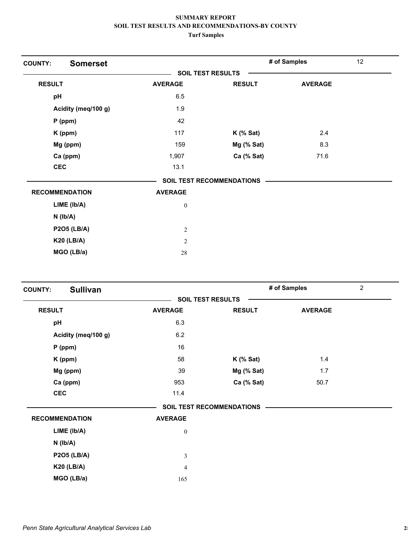| <b>Somerset</b><br><b>COUNTY:</b> |                  |                                  | # of Samples   | 12 |
|-----------------------------------|------------------|----------------------------------|----------------|----|
|                                   |                  | <b>SOIL TEST RESULTS</b>         |                |    |
| <b>RESULT</b>                     | <b>AVERAGE</b>   | <b>RESULT</b>                    | <b>AVERAGE</b> |    |
| pH                                | 6.5              |                                  |                |    |
| Acidity (meq/100 g)               | 1.9              |                                  |                |    |
| $P$ (ppm)                         | 42               |                                  |                |    |
| K (ppm)                           | 117              | $K$ (% Sat)                      | 2.4            |    |
| Mg (ppm)                          | 159              | Mg (% Sat)                       | 8.3            |    |
| Ca (ppm)                          | 1,907            | Ca (% Sat)                       | 71.6           |    |
| <b>CEC</b>                        | 13.1             |                                  |                |    |
|                                   |                  | <b>SOIL TEST RECOMMENDATIONS</b> |                |    |
| <b>RECOMMENDATION</b>             | <b>AVERAGE</b>   |                                  |                |    |
| LIME (Ib/A)                       | $\boldsymbol{0}$ |                                  |                |    |
| $N$ ( $Ib/A$ )                    |                  |                                  |                |    |
| <b>P2O5 (LB/A)</b>                | $\overline{2}$   |                                  |                |    |
| <b>K20 (LB/A)</b>                 | $\overline{2}$   |                                  |                |    |
| MGO (LB/a)                        | 28               |                                  |                |    |

| <b>Sullivan</b><br><b>COUNTY:</b> |                          |                                  | # of Samples   | $\overline{2}$ |
|-----------------------------------|--------------------------|----------------------------------|----------------|----------------|
|                                   | <b>SOIL TEST RESULTS</b> |                                  |                |                |
| <b>RESULT</b>                     | <b>AVERAGE</b>           | <b>RESULT</b>                    | <b>AVERAGE</b> |                |
| pH                                | 6.3                      |                                  |                |                |
| Acidity (meq/100 g)               | 6.2                      |                                  |                |                |
| $P$ (ppm)                         | 16                       |                                  |                |                |
| K (ppm)                           | 58                       | $K$ (% Sat)                      | 1.4            |                |
| Mg (ppm)                          | 39                       | Mg (% Sat)                       | 1.7            |                |
| Ca (ppm)                          | 953                      | Ca (% Sat)                       | 50.7           |                |
| <b>CEC</b>                        | 11.4                     |                                  |                |                |
|                                   |                          | <b>SOIL TEST RECOMMENDATIONS</b> |                |                |
| <b>RECOMMENDATION</b>             | <b>AVERAGE</b>           |                                  |                |                |
| $LIME$ ( $lb/A$ )                 | $\boldsymbol{0}$         |                                  |                |                |
| $N$ ( $lb/A$ )                    |                          |                                  |                |                |
| <b>P2O5 (LB/A)</b>                | 3                        |                                  |                |                |
| <b>K20 (LB/A)</b>                 | 4                        |                                  |                |                |
| MGO (LB/a)                        | 165                      |                                  |                |                |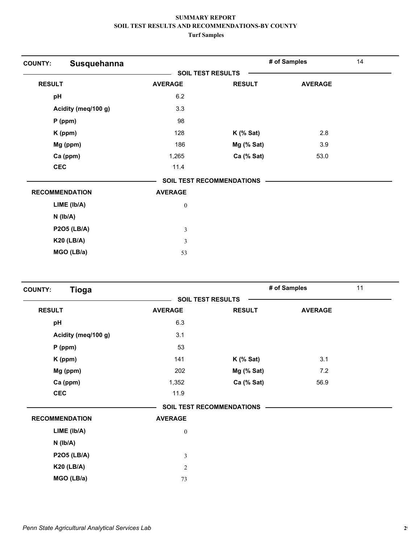| Susquehanna<br><b>COUNTY:</b> |                          |                                  | # of Samples   | 14 |
|-------------------------------|--------------------------|----------------------------------|----------------|----|
|                               | <b>SOIL TEST RESULTS</b> |                                  |                |    |
| <b>RESULT</b>                 | <b>AVERAGE</b>           | <b>RESULT</b>                    | <b>AVERAGE</b> |    |
| pH                            | 6.2                      |                                  |                |    |
| Acidity (meq/100 g)           | 3.3                      |                                  |                |    |
| $P$ (ppm)                     | 98                       |                                  |                |    |
| K (ppm)                       | 128                      | $K$ (% Sat)                      | 2.8            |    |
| Mg (ppm)                      | 186                      | Mg (% Sat)                       | 3.9            |    |
| Ca (ppm)                      | 1,265                    | Ca (% Sat)                       | 53.0           |    |
| <b>CEC</b>                    | 11.4                     |                                  |                |    |
|                               |                          | <b>SOIL TEST RECOMMENDATIONS</b> |                |    |
| <b>RECOMMENDATION</b>         | <b>AVERAGE</b>           |                                  |                |    |
| LIME (Ib/A)                   | $\boldsymbol{0}$         |                                  |                |    |
| $N$ ( $Ib/A$ )                |                          |                                  |                |    |
| <b>P2O5 (LB/A)</b>            | $\overline{\mathbf{3}}$  |                                  |                |    |
| <b>K20 (LB/A)</b>             | 3                        |                                  |                |    |
| MGO (LB/a)                    | 53                       |                                  |                |    |

| <b>Tioga</b><br><b>COUNTY:</b> |                          |                           | # of Samples   | 11 |
|--------------------------------|--------------------------|---------------------------|----------------|----|
|                                | <b>SOIL TEST RESULTS</b> |                           |                |    |
| <b>RESULT</b>                  | <b>AVERAGE</b>           | <b>RESULT</b>             | <b>AVERAGE</b> |    |
| pH                             | 6.3                      |                           |                |    |
| Acidity (meq/100 g)            | 3.1                      |                           |                |    |
| $P$ (ppm)                      | 53                       |                           |                |    |
| K (ppm)                        | 141                      | $K$ (% Sat)               | 3.1            |    |
| Mg (ppm)                       | 202                      | $Mg$ (% Sat)              | 7.2            |    |
| Ca (ppm)                       | 1,352                    | Ca (% Sat)                | 56.9           |    |
| <b>CEC</b>                     | 11.9                     |                           |                |    |
|                                |                          | SOIL TEST RECOMMENDATIONS |                |    |
| <b>RECOMMENDATION</b>          | <b>AVERAGE</b>           |                           |                |    |
| $LIME$ ( $lb/A$ )              | $\boldsymbol{0}$         |                           |                |    |
| $N$ ( $lb/A$ )                 |                          |                           |                |    |
| <b>P2O5 (LB/A)</b>             | $\mathfrak{Z}$           |                           |                |    |
| <b>K20 (LB/A)</b>              | $\overline{2}$           |                           |                |    |
| MGO (LB/a)                     | 73                       |                           |                |    |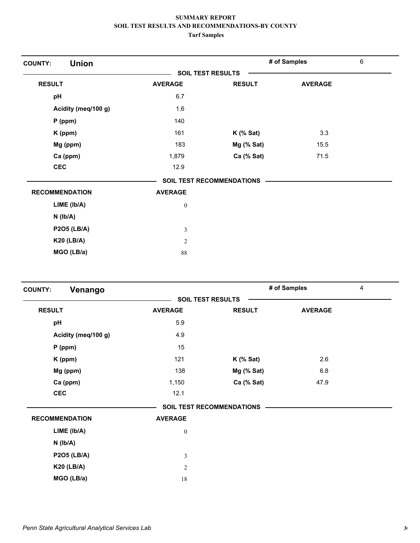| <b>Union</b><br><b>COUNTY:</b> |                          |                                  | # of Samples   | 6 |
|--------------------------------|--------------------------|----------------------------------|----------------|---|
|                                | <b>SOIL TEST RESULTS</b> |                                  |                |   |
| <b>RESULT</b>                  | <b>AVERAGE</b>           | <b>RESULT</b>                    | <b>AVERAGE</b> |   |
| pH                             | 6.7                      |                                  |                |   |
| Acidity (meq/100 g)            | 1.6                      |                                  |                |   |
| $P$ (ppm)                      | 140                      |                                  |                |   |
| K (ppm)                        | 161                      | $K$ (% Sat)                      | 3.3            |   |
| Mg (ppm)                       | 183                      | Mg (% Sat)                       | 15.5           |   |
| Ca (ppm)                       | 1,879                    | Ca (% Sat)                       | 71.5           |   |
| <b>CEC</b>                     | 12.9                     |                                  |                |   |
|                                |                          | <b>SOIL TEST RECOMMENDATIONS</b> |                |   |
| <b>RECOMMENDATION</b>          | <b>AVERAGE</b>           |                                  |                |   |
| LIME (lb/A)                    | $\bf{0}$                 |                                  |                |   |
| $N$ ( $Ib/A$ )                 |                          |                                  |                |   |
| <b>P2O5 (LB/A)</b>             | 3                        |                                  |                |   |
| <b>K20 (LB/A)</b>              | 2                        |                                  |                |   |
| MGO (LB/a)                     | 88                       |                                  |                |   |

| Venango<br><b>COUNTY:</b> |                          |                                  | # of Samples   | 4 |
|---------------------------|--------------------------|----------------------------------|----------------|---|
|                           | <b>SOIL TEST RESULTS</b> |                                  |                |   |
| <b>RESULT</b>             | <b>AVERAGE</b>           | <b>RESULT</b>                    | <b>AVERAGE</b> |   |
| pH                        | 5.9                      |                                  |                |   |
| Acidity (meq/100 g)       | 4.9                      |                                  |                |   |
| $P$ (ppm)                 | 15                       |                                  |                |   |
| K (ppm)                   | 121                      | $K$ (% Sat)                      | 2.6            |   |
| Mg (ppm)                  | 138                      | Mg (% Sat)                       | 6.8            |   |
| Ca (ppm)                  | 1,150                    | Ca (% Sat)                       | 47.9           |   |
| <b>CEC</b>                | 12.1                     |                                  |                |   |
|                           |                          | <b>SOIL TEST RECOMMENDATIONS</b> |                |   |
| <b>RECOMMENDATION</b>     | <b>AVERAGE</b>           |                                  |                |   |
| $LIME$ ( $lb/A$ )         | $\boldsymbol{0}$         |                                  |                |   |
| $N$ ( $lb/A$ )            |                          |                                  |                |   |
| <b>P2O5 (LB/A)</b>        | 3                        |                                  |                |   |
| <b>K20 (LB/A)</b>         | $\mathfrak{2}$           |                                  |                |   |
| MGO (LB/a)                | $18\,$                   |                                  |                |   |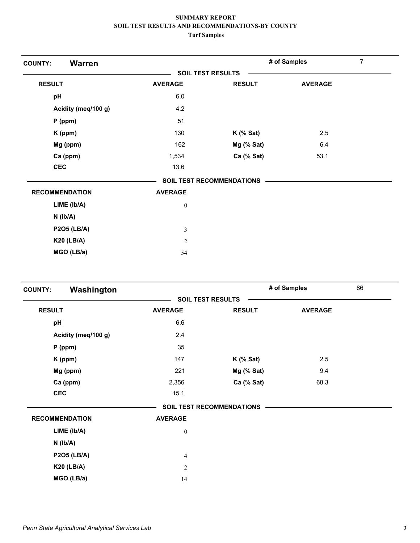| <b>Warren</b><br><b>COUNTY:</b> |                          |                           | # of Samples   | 7 |
|---------------------------------|--------------------------|---------------------------|----------------|---|
|                                 | <b>SOIL TEST RESULTS</b> |                           |                |   |
| <b>RESULT</b>                   | <b>AVERAGE</b>           | <b>RESULT</b>             | <b>AVERAGE</b> |   |
| pH                              | 6.0                      |                           |                |   |
| Acidity (meq/100 g)             | 4.2                      |                           |                |   |
| $P$ (ppm)                       | 51                       |                           |                |   |
| K (ppm)                         | 130                      | $K$ (% Sat)               | 2.5            |   |
| Mg (ppm)                        | 162                      | Mg (% Sat)                | 6.4            |   |
| Ca (ppm)                        | 1,534                    | Ca (% Sat)                | 53.1           |   |
| <b>CEC</b>                      | 13.6                     |                           |                |   |
|                                 |                          | SOIL TEST RECOMMENDATIONS |                |   |
| <b>RECOMMENDATION</b>           | <b>AVERAGE</b>           |                           |                |   |
| LIME (Ib/A)                     | $\boldsymbol{0}$         |                           |                |   |
| $N$ ( $Ib/A$ )                  |                          |                           |                |   |
| <b>P2O5 (LB/A)</b>              | 3                        |                           |                |   |
| <b>K20 (LB/A)</b>               | $\overline{2}$           |                           |                |   |
| MGO (LB/a)                      | 54                       |                           |                |   |

| Washington<br><b>COUNTY:</b> |                          |                                  | # of Samples   | 86 |
|------------------------------|--------------------------|----------------------------------|----------------|----|
|                              | <b>SOIL TEST RESULTS</b> |                                  |                |    |
| <b>RESULT</b>                | <b>AVERAGE</b>           | <b>RESULT</b>                    | <b>AVERAGE</b> |    |
| pH                           | 6.6                      |                                  |                |    |
| Acidity (meq/100 g)          | 2.4                      |                                  |                |    |
| $P$ (ppm)                    | 35                       |                                  |                |    |
| K (ppm)                      | 147                      | $K$ (% Sat)                      | 2.5            |    |
| Mg (ppm)                     | 221                      | Mg (% Sat)                       | 9.4            |    |
| Ca (ppm)                     | 2,356                    | Ca (% Sat)                       | 68.3           |    |
| <b>CEC</b>                   | 15.1                     |                                  |                |    |
|                              |                          | <b>SOIL TEST RECOMMENDATIONS</b> |                |    |
| <b>RECOMMENDATION</b>        | <b>AVERAGE</b>           |                                  |                |    |
| LIME (Ib/A)                  | $\boldsymbol{0}$         |                                  |                |    |
| $N$ ( $Ib/A$ )               |                          |                                  |                |    |
| <b>P2O5 (LB/A)</b>           | 4                        |                                  |                |    |
| <b>K20 (LB/A)</b>            | $\mathfrak{2}$           |                                  |                |    |
| MGO (LB/a)                   | 14                       |                                  |                |    |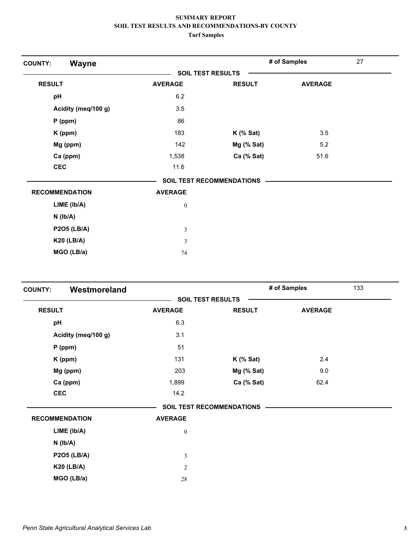| Wayne<br><b>COUNTY:</b> |                  |                                  | # of Samples   | 27 |
|-------------------------|------------------|----------------------------------|----------------|----|
|                         |                  | <b>SOIL TEST RESULTS</b>         |                |    |
| <b>RESULT</b>           | <b>AVERAGE</b>   | <b>RESULT</b>                    | <b>AVERAGE</b> |    |
| pH                      | 6.2              |                                  |                |    |
| Acidity (meq/100 g)     | 3.5              |                                  |                |    |
| $P$ (ppm)               | 86               |                                  |                |    |
| K (ppm)                 | 183              | $K$ (% Sat)                      | 3.5            |    |
| Mg (ppm)                | 142              | Mg (% Sat)                       | 5.2            |    |
| Ca (ppm)                | 1,538            | Ca (% Sat)                       | 51.6           |    |
| <b>CEC</b>              | 11.6             |                                  |                |    |
|                         |                  | <b>SOIL TEST RECOMMENDATIONS</b> |                |    |
| <b>RECOMMENDATION</b>   | <b>AVERAGE</b>   |                                  |                |    |
| LIME (Ib/A)             | $\boldsymbol{0}$ |                                  |                |    |
| $N$ ( $lb/A$ )          |                  |                                  |                |    |
| <b>P2O5 (LB/A)</b>      | 3                |                                  |                |    |
| <b>K20 (LB/A)</b>       | 3                |                                  |                |    |
| MGO (LB/a)              | 74               |                                  |                |    |

| Westmoreland<br><b>COUNTY:</b> |                          |                                  | # of Samples   | 133 |
|--------------------------------|--------------------------|----------------------------------|----------------|-----|
|                                | <b>SOIL TEST RESULTS</b> |                                  |                |     |
| <b>RESULT</b>                  | <b>AVERAGE</b>           | <b>RESULT</b>                    | <b>AVERAGE</b> |     |
| pH                             | 6.3                      |                                  |                |     |
| Acidity (meq/100 g)            | 3.1                      |                                  |                |     |
| $P$ (ppm)                      | 51                       |                                  |                |     |
| K (ppm)                        | 131                      | $K$ (% Sat)                      | 2.4            |     |
| Mg (ppm)                       | 203                      | Mg (% Sat)                       | 9.0            |     |
| Ca (ppm)                       | 1,899                    | Ca (% Sat)                       | 62.4           |     |
| <b>CEC</b>                     | 14.2                     |                                  |                |     |
|                                |                          | <b>SOIL TEST RECOMMENDATIONS</b> |                |     |
| <b>RECOMMENDATION</b>          | <b>AVERAGE</b>           |                                  |                |     |
| $LIME$ ( $lb/A$ )              | $\boldsymbol{0}$         |                                  |                |     |
| $N$ ( $lb/A$ )                 |                          |                                  |                |     |
| <b>P2O5 (LB/A)</b>             | 3                        |                                  |                |     |
| <b>K20 (LB/A)</b>              | $\mathfrak{2}$           |                                  |                |     |
| MGO (LB/a)                     | $28\,$                   |                                  |                |     |